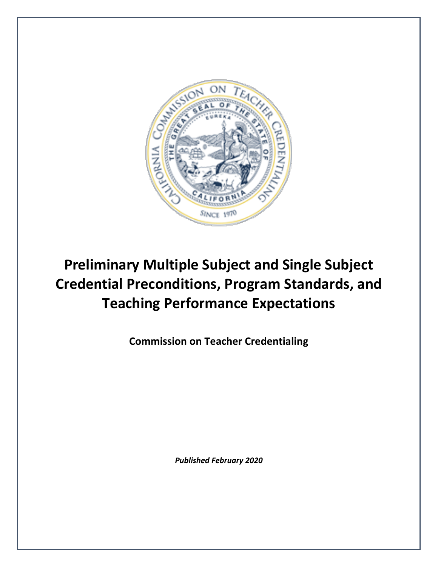

# **Preliminary Multiple Subject and Single Subject Credential Preconditions, Program Standards, and Teaching Performance Expectations**

**Commission on Teacher Credentialing**

*Published February 2020*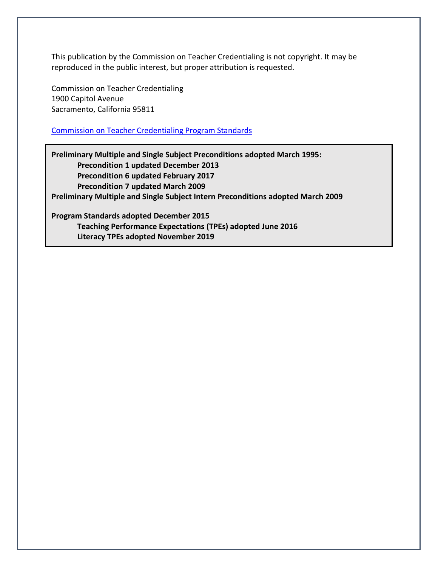This publication by the Commission on Teacher Credentialing is not copyright. It may be reproduced in the public interest, but proper attribution is requested.

Commission on Teacher Credentialing 1900 Capitol Avenue Sacramento, California 95811

### [Commission on Teacher Credentialing Program Standards](https://www.ctc.ca.gov/educator-prep/stds-prep-program)

**Preliminary Multiple and Single Subject Preconditions adopted March 1995: Precondition 1 updated December 2013 Precondition 6 updated February 2017 Precondition 7 updated March 2009 Preliminary Multiple and Single Subject Intern Preconditions adopted March 2009 Program Standards adopted December 2015**

**Teaching Performance Expectations (TPEs) adopted June 2016 Literacy TPEs adopted November 2019**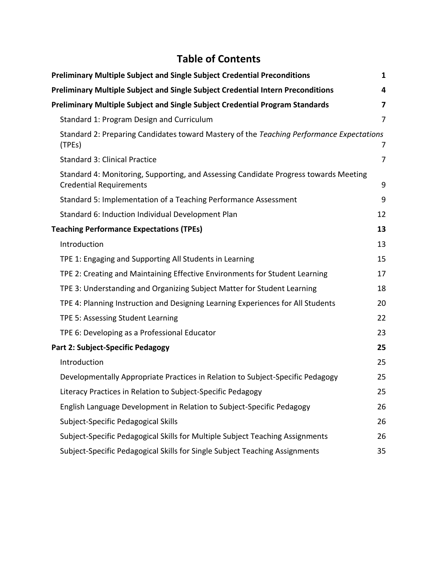# **Table of Contents**

| <b>Preliminary Multiple Subject and Single Subject Credential Preconditions</b>                                        | 1              |
|------------------------------------------------------------------------------------------------------------------------|----------------|
| <b>Preliminary Multiple Subject and Single Subject Credential Intern Preconditions</b>                                 | 4              |
| Preliminary Multiple Subject and Single Subject Credential Program Standards                                           | 7              |
| Standard 1: Program Design and Curriculum                                                                              | 7              |
| Standard 2: Preparing Candidates toward Mastery of the Teaching Performance Expectations<br>(TPEs)                     | 7              |
| <b>Standard 3: Clinical Practice</b>                                                                                   | $\overline{7}$ |
| Standard 4: Monitoring, Supporting, and Assessing Candidate Progress towards Meeting<br><b>Credential Requirements</b> | 9              |
| Standard 5: Implementation of a Teaching Performance Assessment                                                        | 9              |
| Standard 6: Induction Individual Development Plan                                                                      | 12             |
| <b>Teaching Performance Expectations (TPEs)</b>                                                                        | 13             |
| Introduction                                                                                                           | 13             |
| TPE 1: Engaging and Supporting All Students in Learning                                                                | 15             |
| TPE 2: Creating and Maintaining Effective Environments for Student Learning                                            | 17             |
| TPE 3: Understanding and Organizing Subject Matter for Student Learning                                                | 18             |
| TPE 4: Planning Instruction and Designing Learning Experiences for All Students                                        | 20             |
| TPE 5: Assessing Student Learning                                                                                      | 22             |
| TPE 6: Developing as a Professional Educator                                                                           | 23             |
| Part 2: Subject-Specific Pedagogy                                                                                      | 25             |
| Introduction                                                                                                           | 25             |
| Developmentally Appropriate Practices in Relation to Subject-Specific Pedagogy                                         | 25             |
| Literacy Practices in Relation to Subject-Specific Pedagogy                                                            | 25             |
| English Language Development in Relation to Subject-Specific Pedagogy                                                  | 26             |
| Subject-Specific Pedagogical Skills                                                                                    | 26             |
| Subject-Specific Pedagogical Skills for Multiple Subject Teaching Assignments                                          | 26             |
| Subject-Specific Pedagogical Skills for Single Subject Teaching Assignments                                            | 35             |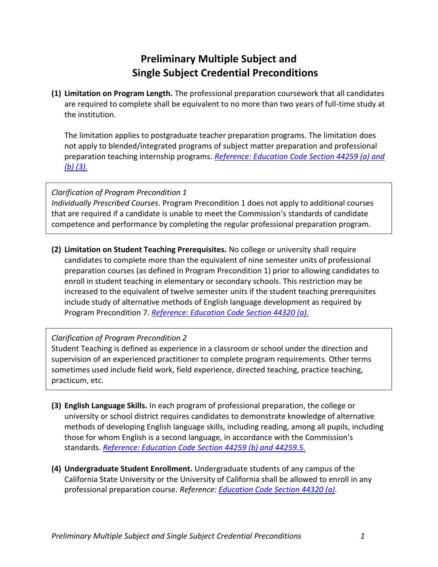# **Preliminary Multiple Subject and Single Subject Credential Preconditions**

<span id="page-3-0"></span>**(1) Limitation on Program Length.** The professional preparation coursework that all candidates are required to complete shall be equivalent to no more than two years of full-time study at the institution.

The limitation applies to postgraduate teacher preparation programs. The limitation does not apply to blended/integrated programs of subject matter preparation and professional preparation teaching internship programs. *[Reference: Education Code Section 44259 \(a\) and](http://www.leginfo.ca.gov/cgi-bin/waisgate?WAISdocID=01595311701+5+0+0&WAISaction=retrieve)  [\(b\) \(3\).](http://www.leginfo.ca.gov/cgi-bin/waisgate?WAISdocID=01595311701+5+0+0&WAISaction=retrieve)*

### *Clarification of Program Precondition 1*

*Individually Prescribed Courses*. Program Precondition 1 does not apply to additional courses that are required if a candidate is unable to meet the Commission's standards of candidate competence and performance by completing the regular professional preparation program.

**(2) Limitation on Student Teaching Prerequisites.** No college or university shall require candidates to complete more than the equivalent of nine semester units of professional preparation courses (as defined in Program Precondition 1) prior to allowing candidates to enroll in student teaching in elementary or secondary schools. This restriction may be increased to the equivalent of twelve semester units if the student teaching prerequisites include study of alternative methods of English language development as required by Program Precondition 7. *[Reference: Education Code Section 44320 \(a\).](http://www.leginfo.ca.gov/cgi-bin/displaycode?section=edc&group=44001-45000&file=44320-44324)*

### *Clarification of Program Precondition 2*

Student Teaching is defined as experience in a classroom or school under the direction and supervision of an experienced practitioner to complete program requirements. Other terms sometimes used include field work, field experience, directed teaching, practice teaching, practicum, etc.

- **(3) English Language Skills.** In each program of professional preparation, the college or university or school district requires candidates to demonstrate knowledge of alternative methods of developing English language skills, including reading, among all pupils, including those for whom English is a second language, in accordance with the Commission's standards. *[Reference: Education Code Section 44259 \(b\) and 44259.5.](http://www.leginfo.ca.gov/cgi-bin/waisgate?WAISdocID=01595311701+5+0+0&WAISaction=retrieve)*
- **(4) Undergraduate Student Enrollment.** Undergraduate students of any campus of the California State University or the University of California shall be allowed to enroll in any professional preparation course. *Reference: [Education Code Section 44320 \(a\).](http://www.leginfo.ca.gov/cgi-bin/displaycode?section=edc&group=44001-45000&file=44320-44324)*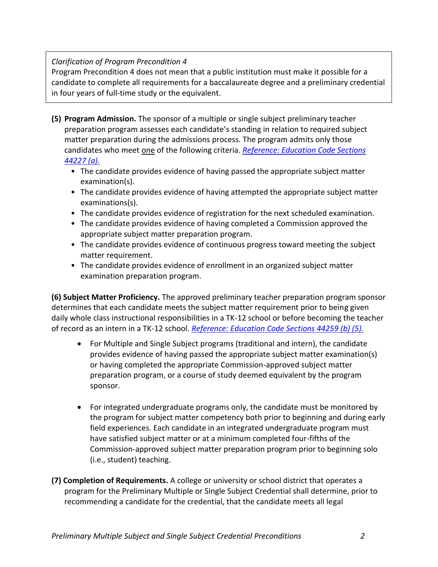### *Clarification of Program Precondition 4*

Program Precondition 4 does not mean that a public institution must make it possible for a candidate to complete all requirements for a baccalaureate degree and a preliminary credential in four years of full-time study or the equivalent.

- **(5) Program Admission.** The sponsor of a multiple or single subject preliminary teacher preparation program assesses each candidate's standing in relation to required subject matter preparation during the admissions process. The program admits only those candidates who meet one of the following criteria. *[Reference: Education Code Sections](http://www.leginfo.ca.gov/cgi-bin/waisgate?WAISdocID=01595311701+5+0+0&WAISaction=retrieve)  [44227 \(a\).](http://www.leginfo.ca.gov/cgi-bin/waisgate?WAISdocID=01595311701+5+0+0&WAISaction=retrieve)*
	- The candidate provides evidence of having passed the appropriate subject matter examination(s).
	- The candidate provides evidence of having attempted the appropriate subject matter examinations(s).
	- The candidate provides evidence of registration for the next scheduled examination.
	- The candidate provides evidence of having completed a Commission approved the appropriate subject matter preparation program.
	- The candidate provides evidence of continuous progress toward meeting the subject matter requirement.
	- The candidate provides evidence of enrollment in an organized subject matter examination preparation program.

**(6) Subject Matter Proficiency.** The approved preliminary teacher preparation program sponsor determines that each candidate meets the subject matter requirement prior to being given daily whole class instructional responsibilities in a TK-12 school or before becoming the teacher of record as an intern in a TK-12 school. *[Reference: Education Code Sections 44259 \(b\) \(5\).](http://codes.findlaw.com/ca/education-code/edc-sect-44259.html)*

- For Multiple and Single Subject programs (traditional and intern), the candidate provides evidence of having passed the appropriate subject matter examination(s) or having completed the appropriate Commission-approved subject matter preparation program, or a course of study deemed equivalent by the program sponsor.
- For integrated undergraduate programs only, the candidate must be monitored by the program for subject matter competency both prior to beginning and during early field experiences. Each candidate in an integrated undergraduate program must have satisfied subject matter or at a minimum completed four-fifths of the Commission-approved subject matter preparation program prior to beginning solo (i.e., student) teaching.
- **(7) Completion of Requirements.** A college or university or school district that operates a program for the Preliminary Multiple or Single Subject Credential shall determine, prior to recommending a candidate for the credential, that the candidate meets all legal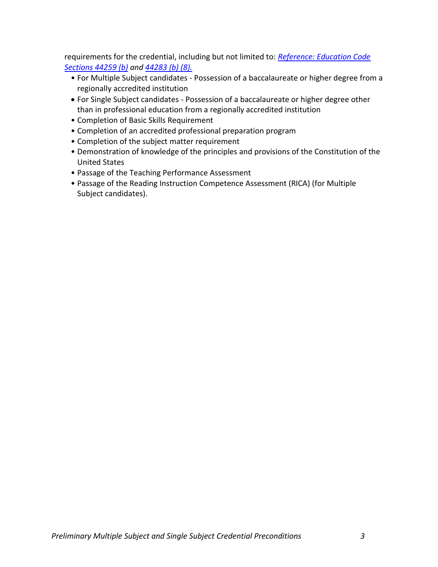requirements for the credential, including but not limited to: *[Reference: Education Code](http://www.leginfo.ca.gov/cgi-bin/waisgate?WAISdocID=01595311701+5+0+0&WAISaction=retrieve)  [Sections 44259 \(b\)](http://www.leginfo.ca.gov/cgi-bin/waisgate?WAISdocID=01595311701+5+0+0&WAISaction=retrieve) and [44283 \(b\) \(8\).](http://www.leginfo.ca.gov/cgi-bin/waisgate?WAISdocID=01637514309+9+0+0&WAISaction=retrieve)*

- For Multiple Subject candidates Possession of a baccalaureate or higher degree from a regionally accredited institution
- For Single Subject candidates Possession of a baccalaureate or higher degree other than in professional education from a regionally accredited institution
- Completion of Basic Skills Requirement
- Completion of an accredited professional preparation program
- Completion of the subject matter requirement
- Demonstration of knowledge of the principles and provisions of the Constitution of the United States
- Passage of the Teaching Performance Assessment
- Passage of the Reading Instruction Competence Assessment (RICA) (for Multiple Subject candidates).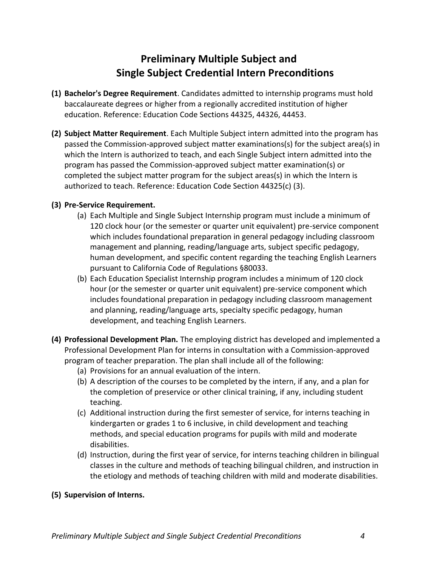# **Preliminary Multiple Subject and Single Subject Credential Intern Preconditions**

- <span id="page-6-0"></span>**(1) Bachelor's Degree Requirement**. Candidates admitted to internship programs must hold baccalaureate degrees or higher from a regionally accredited institution of higher education. Reference: Education Code Sections 44325, 44326, 44453.
- **(2) Subject Matter Requirement**. Each Multiple Subject intern admitted into the program has passed the Commission-approved subject matter examinations(s) for the subject area(s) in which the Intern is authorized to teach, and each Single Subject intern admitted into the program has passed the Commission-approved subject matter examination(s) or completed the subject matter program for the subject areas(s) in which the Intern is authorized to teach. Reference: Education Code Section 44325(c) (3).

### **(3) Pre-Service Requirement.**

- (a) Each Multiple and Single Subject Internship program must include a minimum of 120 clock hour (or the semester or quarter unit equivalent) pre-service component which includes foundational preparation in general pedagogy including classroom management and planning, reading/language arts, subject specific pedagogy, human development, and specific content regarding the teaching English Learners pursuant to California Code of Regulations §80033.
- (b) Each Education Specialist Internship program includes a minimum of 120 clock hour (or the semester or quarter unit equivalent) pre-service component which includes foundational preparation in pedagogy including classroom management and planning, reading/language arts, specialty specific pedagogy, human development, and teaching English Learners.
- **(4) Professional Development Plan.** The employing district has developed and implemented a Professional Development Plan for interns in consultation with a Commission-approved program of teacher preparation. The plan shall include all of the following:
	- (a) Provisions for an annual evaluation of the intern.
	- (b) A description of the courses to be completed by the intern, if any, and a plan for the completion of preservice or other clinical training, if any, including student teaching.
	- (c) Additional instruction during the first semester of service, for interns teaching in kindergarten or grades 1 to 6 inclusive, in child development and teaching methods, and special education programs for pupils with mild and moderate disabilities.
	- (d) Instruction, during the first year of service, for interns teaching children in bilingual classes in the culture and methods of teaching bilingual children, and instruction in the etiology and methods of teaching children with mild and moderate disabilities.

### **(5) Supervision of Interns.**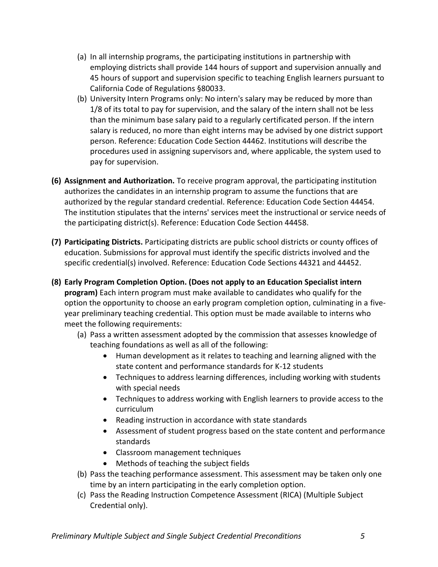- (a) In all internship programs, the participating institutions in partnership with employing districts shall provide 144 hours of support and supervision annually and 45 hours of support and supervision specific to teaching English learners pursuant to California Code of Regulations §80033.
- (b) University Intern Programs only: No intern's salary may be reduced by more than 1/8 of its total to pay for supervision, and the salary of the intern shall not be less than the minimum base salary paid to a regularly certificated person. If the intern salary is reduced, no more than eight interns may be advised by one district support person. Reference: Education Code Section 44462. Institutions will describe the procedures used in assigning supervisors and, where applicable, the system used to pay for supervision.
- **(6) Assignment and Authorization.** To receive program approval, the participating institution authorizes the candidates in an internship program to assume the functions that are authorized by the regular standard credential. Reference: Education Code Section 44454. The institution stipulates that the interns' services meet the instructional or service needs of the participating district(s). Reference: Education Code Section 44458.
- **(7) Participating Districts.** Participating districts are public school districts or county offices of education. Submissions for approval must identify the specific districts involved and the specific credential(s) involved. Reference: Education Code Sections 44321 and 44452.
- **(8) Early Program Completion Option. (Does not apply to an Education Specialist intern program)** Each intern program must make available to candidates who qualify for the option the opportunity to choose an early program completion option, culminating in a fiveyear preliminary teaching credential. This option must be made available to interns who meet the following requirements:
	- (a) Pass a written assessment adopted by the commission that assesses knowledge of teaching foundations as well as all of the following:
		- Human development as it relates to teaching and learning aligned with the state content and performance standards for K-12 students
		- Techniques to address learning differences, including working with students with special needs
		- Techniques to address working with English learners to provide access to the curriculum
		- Reading instruction in accordance with state standards
		- Assessment of student progress based on the state content and performance standards
		- Classroom management techniques
		- Methods of teaching the subject fields
	- (b) Pass the teaching performance assessment. This assessment may be taken only one time by an intern participating in the early completion option.
	- (c) Pass the Reading Instruction Competence Assessment (RICA) (Multiple Subject Credential only).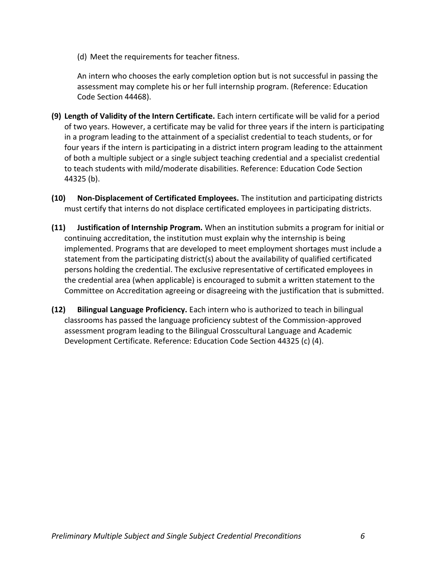(d) Meet the requirements for teacher fitness.

An intern who chooses the early completion option but is not successful in passing the assessment may complete his or her full internship program. (Reference: Education Code Section 44468).

- **(9) Length of Validity of the Intern Certificate.** Each intern certificate will be valid for a period of two years. However, a certificate may be valid for three years if the intern is participating in a program leading to the attainment of a specialist credential to teach students, or for four years if the intern is participating in a district intern program leading to the attainment of both a multiple subject or a single subject teaching credential and a specialist credential to teach students with mild/moderate disabilities. Reference: Education Code Section 44325 (b).
- **(10) Non-Displacement of Certificated Employees.** The institution and participating districts must certify that interns do not displace certificated employees in participating districts.
- **(11) Justification of Internship Program.** When an institution submits a program for initial or continuing accreditation, the institution must explain why the internship is being implemented. Programs that are developed to meet employment shortages must include a statement from the participating district(s) about the availability of qualified certificated persons holding the credential. The exclusive representative of certificated employees in the credential area (when applicable) is encouraged to submit a written statement to the Committee on Accreditation agreeing or disagreeing with the justification that is submitted.
- **(12) Bilingual Language Proficiency.** Each intern who is authorized to teach in bilingual classrooms has passed the language proficiency subtest of the Commission-approved assessment program leading to the Bilingual Crosscultural Language and Academic Development Certificate. Reference: Education Code Section 44325 (c) (4).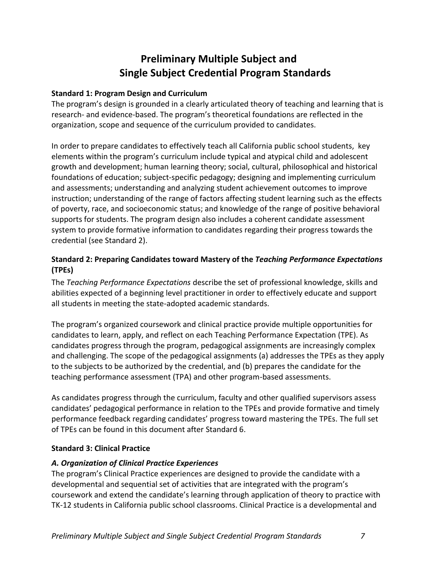# **Preliminary Multiple Subject and Single Subject Credential Program Standards**

### <span id="page-9-1"></span><span id="page-9-0"></span>**Standard 1: Program Design and Curriculum**

The program's design is grounded in a clearly articulated theory of teaching and learning that is research- and evidence-based. The program's theoretical foundations are reflected in the organization, scope and sequence of the curriculum provided to candidates.

In order to prepare candidates to effectively teach all California public school students, key elements within the program's curriculum include typical and atypical child and adolescent growth and development; human learning theory; social, cultural, philosophical and historical foundations of education; subject-specific pedagogy; designing and implementing curriculum and assessments; understanding and analyzing student achievement outcomes to improve instruction; understanding of the range of factors affecting student learning such as the effects of poverty, race, and socioeconomic status; and knowledge of the range of positive behavioral supports for students. The program design also includes a coherent candidate assessment system to provide formative information to candidates regarding their progress towards the credential (see Standard 2).

# <span id="page-9-2"></span>**Standard 2: Preparing Candidates toward Mastery of the** *Teaching Performance Expectations* **(TPEs)**

The *Teaching Performance Expectations* describe the set of professional knowledge, skills and abilities expected of a beginning level practitioner in order to effectively educate and support all students in meeting the state-adopted academic standards.

The program's organized coursework and clinical practice provide multiple opportunities for candidates to learn, apply, and reflect on each Teaching Performance Expectation (TPE). As candidates progress through the program, pedagogical assignments are increasingly complex and challenging. The scope of the pedagogical assignments (a) addresses the TPEs as they apply to the subjects to be authorized by the credential, and (b) prepares the candidate for the teaching performance assessment (TPA) and other program-based assessments.

As candidates progress through the curriculum, faculty and other qualified supervisors assess candidates' pedagogical performance in relation to the TPEs and provide formative and timely performance feedback regarding candidates' progress toward mastering the TPEs. The full set of TPEs can be found in this document after Standard 6.

### <span id="page-9-3"></span>**Standard 3: Clinical Practice**

### *A. Organization of Clinical Practice Experiences*

The program's Clinical Practice experiences are designed to provide the candidate with a developmental and sequential set of activities that are integrated with the program's coursework and extend the candidate's learning through application of theory to practice with TK-12 students in California public school classrooms. Clinical Practice is a developmental and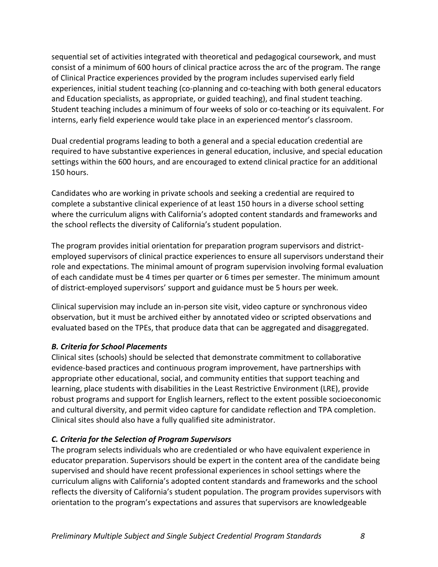sequential set of activities integrated with theoretical and pedagogical coursework, and must consist of a minimum of 600 hours of clinical practice across the arc of the program. The range of Clinical Practice experiences provided by the program includes supervised early field experiences, initial student teaching (co-planning and co-teaching with both general educators and Education specialists, as appropriate, or guided teaching), and final student teaching. Student teaching includes a minimum of four weeks of solo or co-teaching or its equivalent. For interns, early field experience would take place in an experienced mentor's classroom.

Dual credential programs leading to both a general and a special education credential are required to have substantive experiences in general education, inclusive, and special education settings within the 600 hours, and are encouraged to extend clinical practice for an additional 150 hours.

Candidates who are working in private schools and seeking a credential are required to complete a substantive clinical experience of at least 150 hours in a diverse school setting where the curriculum aligns with California's adopted content standards and frameworks and the school reflects the diversity of California's student population.

The program provides initial orientation for preparation program supervisors and districtemployed supervisors of clinical practice experiences to ensure all supervisors understand their role and expectations. The minimal amount of program supervision involving formal evaluation of each candidate must be 4 times per quarter or 6 times per semester. The minimum amount of district-employed supervisors' support and guidance must be 5 hours per week.

Clinical supervision may include an in-person site visit, video capture or synchronous video observation, but it must be archived either by annotated video or scripted observations and evaluated based on the TPEs, that produce data that can be aggregated and disaggregated.

### *B. Criteria for School Placements*

Clinical sites (schools) should be selected that demonstrate commitment to collaborative evidence-based practices and continuous program improvement, have partnerships with appropriate other educational, social, and community entities that support teaching and learning, place students with disabilities in the Least Restrictive Environment (LRE), provide robust programs and support for English learners, reflect to the extent possible socioeconomic and cultural diversity, and permit video capture for candidate reflection and TPA completion. Clinical sites should also have a fully qualified site administrator.

### *C. Criteria for the Selection of Program Supervisors*

The program selects individuals who are credentialed or who have equivalent experience in educator preparation. Supervisors should be expert in the content area of the candidate being supervised and should have recent professional experiences in school settings where the curriculum aligns with California's adopted content standards and frameworks and the school reflects the diversity of California's student population. The program provides supervisors with orientation to the program's expectations and assures that supervisors are knowledgeable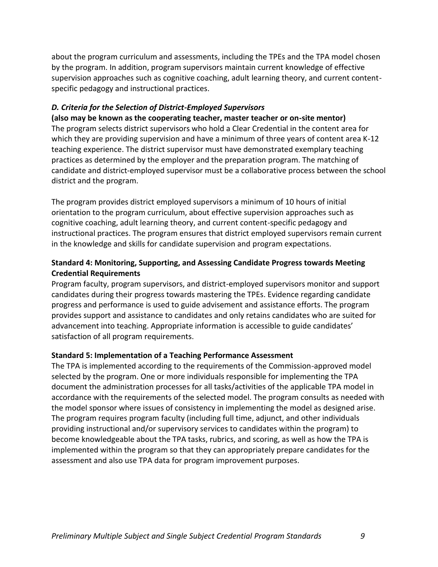about the program curriculum and assessments, including the TPEs and the TPA model chosen by the program. In addition, program supervisors maintain current knowledge of effective supervision approaches such as cognitive coaching, adult learning theory, and current contentspecific pedagogy and instructional practices.

### *D. Criteria for the Selection of District-Employed Supervisors*

**(also may be known as the cooperating teacher, master teacher or on-site mentor)** The program selects district supervisors who hold a Clear Credential in the content area for which they are providing supervision and have a minimum of three years of content area K-12 teaching experience. The district supervisor must have demonstrated exemplary teaching practices as determined by the employer and the preparation program. The matching of candidate and district-employed supervisor must be a collaborative process between the school district and the program.

The program provides district employed supervisors a minimum of 10 hours of initial orientation to the program curriculum, about effective supervision approaches such as cognitive coaching, adult learning theory, and current content-specific pedagogy and instructional practices. The program ensures that district employed supervisors remain current in the knowledge and skills for candidate supervision and program expectations.

### <span id="page-11-0"></span>**Standard 4: Monitoring, Supporting, and Assessing Candidate Progress towards Meeting Credential Requirements**

Program faculty, program supervisors, and district-employed supervisors monitor and support candidates during their progress towards mastering the TPEs. Evidence regarding candidate progress and performance is used to guide advisement and assistance efforts. The program provides support and assistance to candidates and only retains candidates who are suited for advancement into teaching. Appropriate information is accessible to guide candidates' satisfaction of all program requirements.

### <span id="page-11-1"></span>**Standard 5: Implementation of a Teaching Performance Assessment**

The TPA is implemented according to the requirements of the Commission-approved model selected by the program. One or more individuals responsible for implementing the TPA document the administration processes for all tasks/activities of the applicable TPA model in accordance with the requirements of the selected model. The program consults as needed with the model sponsor where issues of consistency in implementing the model as designed arise. The program requires program faculty (including full time, adjunct, and other individuals providing instructional and/or supervisory services to candidates within the program) to become knowledgeable about the TPA tasks, rubrics, and scoring, as well as how the TPA is implemented within the program so that they can appropriately prepare candidates for the assessment and also use TPA data for program improvement purposes.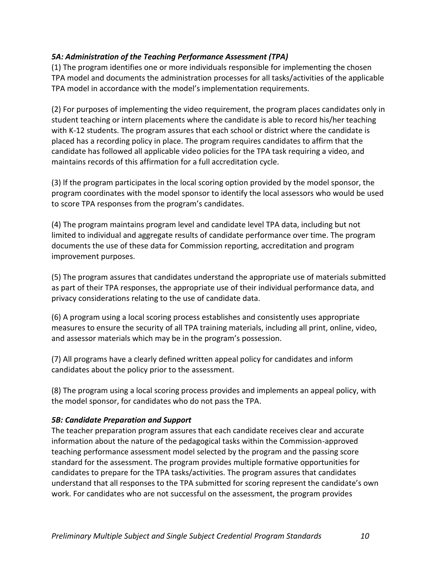### *5A: Administration of the Teaching Performance Assessment (TPA)*

(1) The program identifies one or more individuals responsible for implementing the chosen TPA model and documents the administration processes for all tasks/activities of the applicable TPA model in accordance with the model's implementation requirements.

(2) For purposes of implementing the video requirement, the program places candidates only in student teaching or intern placements where the candidate is able to record his/her teaching with K-12 students. The program assures that each school or district where the candidate is placed has a recording policy in place. The program requires candidates to affirm that the candidate has followed all applicable video policies for the TPA task requiring a video, and maintains records of this affirmation for a full accreditation cycle.

(3) lf the program participates in the local scoring option provided by the model sponsor, the program coordinates with the model sponsor to identify the local assessors who would be used to score TPA responses from the program's candidates.

(4) The program maintains program level and candidate level TPA data, including but not limited to individual and aggregate results of candidate performance over time. The program documents the use of these data for Commission reporting, accreditation and program improvement purposes.

(5) The program assures that candidates understand the appropriate use of materials submitted as part of their TPA responses, the appropriate use of their individual performance data, and privacy considerations relating to the use of candidate data.

(6) A program using a local scoring process establishes and consistently uses appropriate measures to ensure the security of all TPA training materials, including all print, online, video, and assessor materials which may be in the program's possession.

(7) All programs have a clearly defined written appeal policy for candidates and inform candidates about the policy prior to the assessment.

(8) The program using a local scoring process provides and implements an appeal policy, with the model sponsor, for candidates who do not pass the TPA.

### *5B: Candidate Preparation and Support*

The teacher preparation program assures that each candidate receives clear and accurate information about the nature of the pedagogical tasks within the Commission-approved teaching performance assessment model selected by the program and the passing score standard for the assessment. The program provides multiple formative opportunities for candidates to prepare for the TPA tasks/activities. The program assures that candidates understand that all responses to the TPA submitted for scoring represent the candidate's own work. For candidates who are not successful on the assessment, the program provides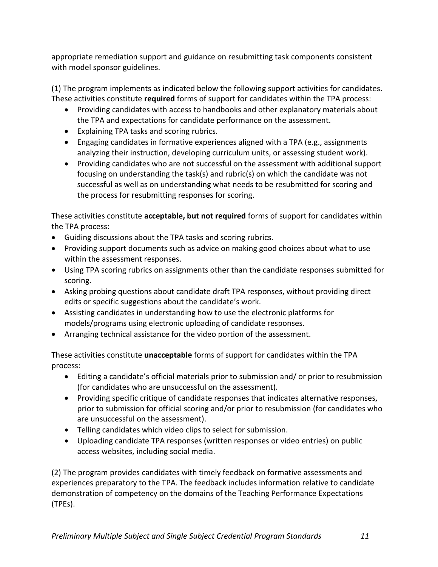appropriate remediation support and guidance on resubmitting task components consistent with model sponsor guidelines.

(1) The program implements as indicated below the following support activities for candidates. These activities constitute **required** forms of support for candidates within the TPA process:

- Providing candidates with access to handbooks and other explanatory materials about the TPA and expectations for candidate performance on the assessment.
- Explaining TPA tasks and scoring rubrics.
- Engaging candidates in formative experiences aligned with a TPA (e.g., assignments analyzing their instruction, developing curriculum units, or assessing student work).
- Providing candidates who are not successful on the assessment with additional support focusing on understanding the task(s) and rubric(s) on which the candidate was not successful as well as on understanding what needs to be resubmitted for scoring and the process for resubmitting responses for scoring.

These activities constitute **acceptable, but not required** forms of support for candidates within the TPA process:

- Guiding discussions about the TPA tasks and scoring rubrics.
- Providing support documents such as advice on making good choices about what to use within the assessment responses.
- Using TPA scoring rubrics on assignments other than the candidate responses submitted for scoring.
- Asking probing questions about candidate draft TPA responses, without providing direct edits or specific suggestions about the candidate's work.
- Assisting candidates in understanding how to use the electronic platforms for models/programs using electronic uploading of candidate responses.
- Arranging technical assistance for the video portion of the assessment.

These activities constitute **unacceptable** forms of support for candidates within the TPA process:

- Editing a candidate's official materials prior to submission and/ or prior to resubmission (for candidates who are unsuccessful on the assessment).
- Providing specific critique of candidate responses that indicates alternative responses, prior to submission for official scoring and/or prior to resubmission (for candidates who are unsuccessful on the assessment).
- Telling candidates which video clips to select for submission.
- Uploading candidate TPA responses (written responses or video entries) on public access websites, including social media.

(2) The program provides candidates with timely feedback on formative assessments and experiences preparatory to the TPA. The feedback includes information relative to candidate demonstration of competency on the domains of the Teaching Performance Expectations (TPEs).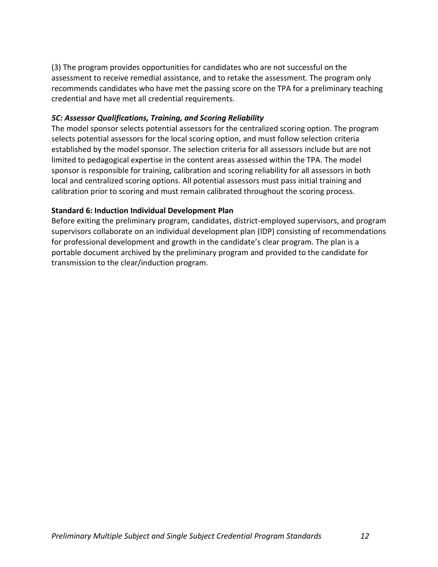(3) The program provides opportunities for candidates who are not successful on the assessment to receive remedial assistance, and to retake the assessment. The program only recommends candidates who have met the passing score on the TPA for a preliminary teaching credential and have met all credential requirements.

### *5C: Assessor Qualifications, Training, and Scoring Reliability*

The model sponsor selects potential assessors for the centralized scoring option. The program selects potential assessors for the local scoring option, and must follow selection criteria established by the model sponsor. The selection criteria for all assessors include but are not limited to pedagogical expertise in the content areas assessed within the TPA. The model sponsor is responsible for training, calibration and scoring reliability for all assessors in both local and centralized scoring options. All potential assessors must pass initial training and calibration prior to scoring and must remain calibrated throughout the scoring process.

### <span id="page-14-0"></span>**Standard 6: Induction Individual Development Plan**

Before exiting the preliminary program, candidates, district-employed supervisors, and program supervisors collaborate on an individual development plan (IDP) consisting of recommendations for professional development and growth in the candidate's clear program. The plan is a portable document archived by the preliminary program and provided to the candidate for transmission to the clear/induction program.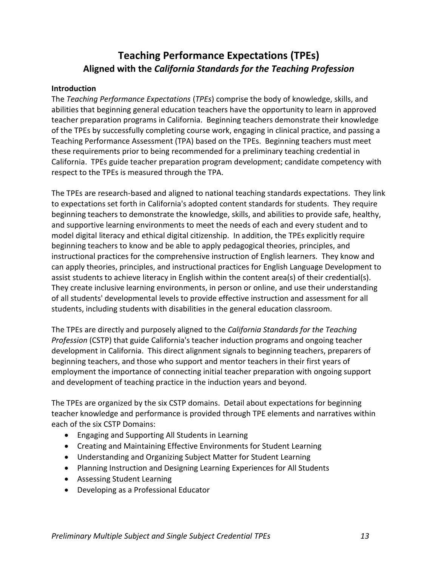# <span id="page-15-0"></span>**Teaching Performance Expectations (TPEs) Aligned with the** *California Standards for the Teaching Profession*

### <span id="page-15-1"></span>**Introduction**

The *Teaching Performance Expectations* (*TPEs*) comprise the body of knowledge, skills, and abilities that beginning general education teachers have the opportunity to learn in approved teacher preparation programs in California. Beginning teachers demonstrate their knowledge of the TPEs by successfully completing course work, engaging in clinical practice, and passing a Teaching Performance Assessment (TPA) based on the TPEs. Beginning teachers must meet these requirements prior to being recommended for a preliminary teaching credential in California. TPEs guide teacher preparation program development; candidate competency with respect to the TPEs is measured through the TPA.

The TPEs are research-based and aligned to national teaching standards expectations. They link to expectations set forth in California's adopted content standards for students. They require beginning teachers to demonstrate the knowledge, skills, and abilities to provide safe, healthy, and supportive learning environments to meet the needs of each and every student and to model digital literacy and ethical digital citizenship. In addition, the TPEs explicitly require beginning teachers to know and be able to apply pedagogical theories, principles, and instructional practices for the comprehensive instruction of English learners. They know and can apply theories, principles, and instructional practices for English Language Development to assist students to achieve literacy in English within the content area(s) of their credential(s). They create inclusive learning environments, in person or online, and use their understanding of all students' developmental levels to provide effective instruction and assessment for all students, including students with disabilities in the general education classroom.

The TPEs are directly and purposely aligned to the *California Standards for the Teaching Profession* (CSTP) that guide California's teacher induction programs and ongoing teacher development in California. This direct alignment signals to beginning teachers, preparers of beginning teachers, and those who support and mentor teachers in their first years of employment the importance of connecting initial teacher preparation with ongoing support and development of teaching practice in the induction years and beyond.

The TPEs are organized by the six CSTP domains. Detail about expectations for beginning teacher knowledge and performance is provided through TPE elements and narratives within each of the six CSTP Domains:

- Engaging and Supporting All Students in Learning
- Creating and Maintaining Effective Environments for Student Learning
- Understanding and Organizing Subject Matter for Student Learning
- Planning Instruction and Designing Learning Experiences for All Students
- Assessing Student Learning
- Developing as a Professional Educator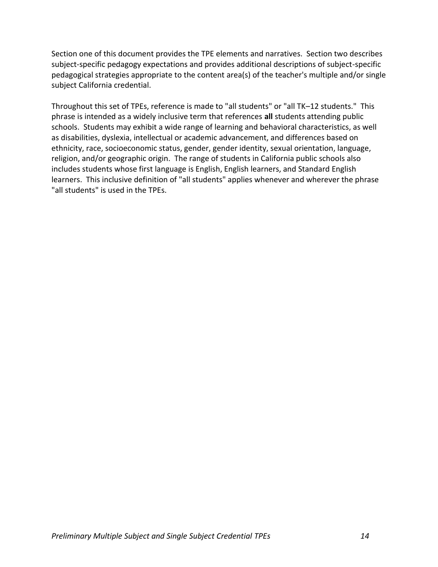Section one of this document provides the TPE elements and narratives. Section two describes subject-specific pedagogy expectations and provides additional descriptions of subject-specific pedagogical strategies appropriate to the content area(s) of the teacher's multiple and/or single subject California credential.

Throughout this set of TPEs, reference is made to "all students" or "all TK–12 students." This phrase is intended as a widely inclusive term that references **all** students attending public schools. Students may exhibit a wide range of learning and behavioral characteristics, as well as disabilities, dyslexia, intellectual or academic advancement, and differences based on ethnicity, race, socioeconomic status, gender, gender identity, sexual orientation, language, religion, and/or geographic origin. The range of students in California public schools also includes students whose first language is English, English learners, and Standard English learners. This inclusive definition of "all students" applies whenever and wherever the phrase "all students" is used in the TPEs.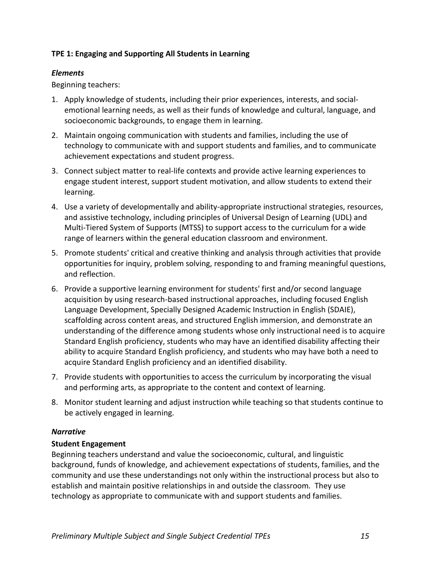### <span id="page-17-0"></span>**TPE 1: Engaging and Supporting All Students in Learning**

### *Elements*

Beginning teachers:

- 1. Apply knowledge of students, including their prior experiences, interests, and socialemotional learning needs, as well as their funds of knowledge and cultural, language, and socioeconomic backgrounds, to engage them in learning.
- 2. Maintain ongoing communication with students and families, including the use of technology to communicate with and support students and families, and to communicate achievement expectations and student progress.
- 3. Connect subject matter to real-life contexts and provide active learning experiences to engage student interest, support student motivation, and allow students to extend their learning.
- 4. Use a variety of developmentally and ability-appropriate instructional strategies, resources, and assistive technology, including principles of Universal Design of Learning (UDL) and Multi-Tiered System of Supports (MTSS) to support access to the curriculum for a wide range of learners within the general education classroom and environment.
- 5. Promote students' critical and creative thinking and analysis through activities that provide opportunities for inquiry, problem solving, responding to and framing meaningful questions, and reflection.
- 6. Provide a supportive learning environment for students' first and/or second language acquisition by using research-based instructional approaches, including focused English Language Development, Specially Designed Academic Instruction in English (SDAIE), scaffolding across content areas, and structured English immersion, and demonstrate an understanding of the difference among students whose only instructional need is to acquire Standard English proficiency, students who may have an identified disability affecting their ability to acquire Standard English proficiency, and students who may have both a need to acquire Standard English proficiency and an identified disability.
- 7. Provide students with opportunities to access the curriculum by incorporating the visual and performing arts, as appropriate to the content and context of learning.
- 8. Monitor student learning and adjust instruction while teaching so that students continue to be actively engaged in learning.

### *Narrative*

### **Student Engagement**

Beginning teachers understand and value the socioeconomic, cultural, and linguistic background, funds of knowledge, and achievement expectations of students, families, and the community and use these understandings not only within the instructional process but also to establish and maintain positive relationships in and outside the classroom. They use technology as appropriate to communicate with and support students and families.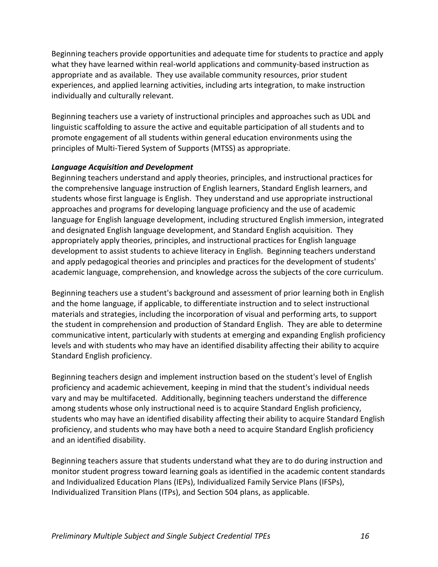Beginning teachers provide opportunities and adequate time for students to practice and apply what they have learned within real-world applications and community-based instruction as appropriate and as available. They use available community resources, prior student experiences, and applied learning activities, including arts integration, to make instruction individually and culturally relevant.

Beginning teachers use a variety of instructional principles and approaches such as UDL and linguistic scaffolding to assure the active and equitable participation of all students and to promote engagement of all students within general education environments using the principles of Multi-Tiered System of Supports (MTSS) as appropriate.

### *Language Acquisition and Development*

Beginning teachers understand and apply theories, principles, and instructional practices for the comprehensive language instruction of English learners, Standard English learners, and students whose first language is English. They understand and use appropriate instructional approaches and programs for developing language proficiency and the use of academic language for English language development, including structured English immersion, integrated and designated English language development, and Standard English acquisition. They appropriately apply theories, principles, and instructional practices for English language development to assist students to achieve literacy in English. Beginning teachers understand and apply pedagogical theories and principles and practices for the development of students' academic language, comprehension, and knowledge across the subjects of the core curriculum.

Beginning teachers use a student's background and assessment of prior learning both in English and the home language, if applicable, to differentiate instruction and to select instructional materials and strategies, including the incorporation of visual and performing arts, to support the student in comprehension and production of Standard English. They are able to determine communicative intent, particularly with students at emerging and expanding English proficiency levels and with students who may have an identified disability affecting their ability to acquire Standard English proficiency.

Beginning teachers design and implement instruction based on the student's level of English proficiency and academic achievement, keeping in mind that the student's individual needs vary and may be multifaceted. Additionally, beginning teachers understand the difference among students whose only instructional need is to acquire Standard English proficiency, students who may have an identified disability affecting their ability to acquire Standard English proficiency, and students who may have both a need to acquire Standard English proficiency and an identified disability.

Beginning teachers assure that students understand what they are to do during instruction and monitor student progress toward learning goals as identified in the academic content standards and Individualized Education Plans (IEPs), Individualized Family Service Plans (IFSPs), Individualized Transition Plans (ITPs), and Section 504 plans, as applicable.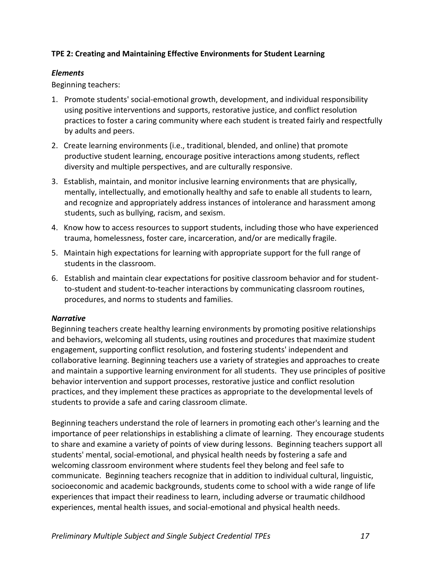### <span id="page-19-0"></span>**TPE 2: Creating and Maintaining Effective Environments for Student Learning**

### *Elements*

Beginning teachers:

- 1. Promote students' social-emotional growth, development, and individual responsibility using positive interventions and supports, restorative justice, and conflict resolution practices to foster a caring community where each student is treated fairly and respectfully by adults and peers.
- 2. Create learning environments (i.e., traditional, blended, and online) that promote productive student learning, encourage positive interactions among students, reflect diversity and multiple perspectives, and are culturally responsive.
- 3. Establish, maintain, and monitor inclusive learning environments that are physically, mentally, intellectually, and emotionally healthy and safe to enable all students to learn, and recognize and appropriately address instances of intolerance and harassment among students, such as bullying, racism, and sexism.
- 4. Know how to access resources to support students, including those who have experienced trauma, homelessness, foster care, incarceration, and/or are medically fragile.
- 5. Maintain high expectations for learning with appropriate support for the full range of students in the classroom.
- 6. Establish and maintain clear expectations for positive classroom behavior and for studentto-student and student-to-teacher interactions by communicating classroom routines, procedures, and norms to students and families.

### *Narrative*

Beginning teachers create healthy learning environments by promoting positive relationships and behaviors, welcoming all students, using routines and procedures that maximize student engagement, supporting conflict resolution, and fostering students' independent and collaborative learning. Beginning teachers use a variety of strategies and approaches to create and maintain a supportive learning environment for all students. They use principles of positive behavior intervention and support processes, restorative justice and conflict resolution practices, and they implement these practices as appropriate to the developmental levels of students to provide a safe and caring classroom climate.

Beginning teachers understand the role of learners in promoting each other's learning and the importance of peer relationships in establishing a climate of learning. They encourage students to share and examine a variety of points of view during lessons. Beginning teachers support all students' mental, social-emotional, and physical health needs by fostering a safe and welcoming classroom environment where students feel they belong and feel safe to communicate. Beginning teachers recognize that in addition to individual cultural, linguistic, socioeconomic and academic backgrounds, students come to school with a wide range of life experiences that impact their readiness to learn, including adverse or traumatic childhood experiences, mental health issues, and social-emotional and physical health needs.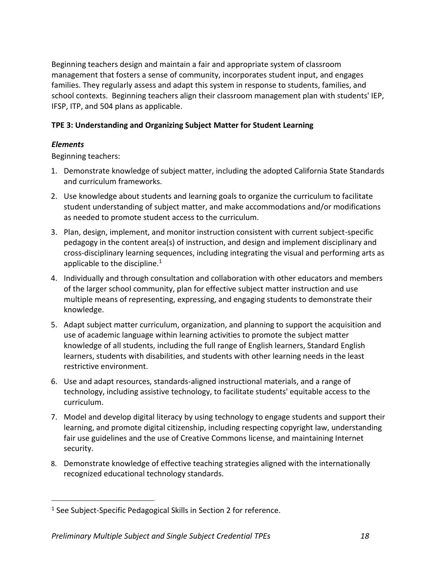Beginning teachers design and maintain a fair and appropriate system of classroom management that fosters a sense of community, incorporates student input, and engages families. They regularly assess and adapt this system in response to students, families, and school contexts. Beginning teachers align their classroom management plan with students' IEP, IFSP, ITP, and 504 plans as applicable.

# <span id="page-20-0"></span>**TPE 3: Understanding and Organizing Subject Matter for Student Learning**

# *Elements*

Beginning teachers:

- 1. Demonstrate knowledge of subject matter, including the adopted California State Standards and curriculum frameworks.
- 2. Use knowledge about students and learning goals to organize the curriculum to facilitate student understanding of subject matter, and make accommodations and/or modifications as needed to promote student access to the curriculum.
- 3. Plan, design, implement, and monitor instruction consistent with current subject-specific pedagogy in the content area(s) of instruction, and design and implement disciplinary and cross-disciplinary learning sequences, including integrating the visual and performing arts as applicable to the discipline. $1$
- 4. Individually and through consultation and collaboration with other educators and members of the larger school community, plan for effective subject matter instruction and use multiple means of representing, expressing, and engaging students to demonstrate their knowledge.
- 5. Adapt subject matter curriculum, organization, and planning to support the acquisition and use of academic language within learning activities to promote the subject matter knowledge of all students, including the full range of English learners, Standard English learners, students with disabilities, and students with other learning needs in the least restrictive environment.
- 6. Use and adapt resources, standards-aligned instructional materials, and a range of technology, including assistive technology, to facilitate students' equitable access to the curriculum.
- 7. Model and develop digital literacy by using technology to engage students and support their learning, and promote digital citizenship, including respecting copyright law, understanding fair use guidelines and the use of Creative Commons license, and maintaining Internet security.
- 8. Demonstrate knowledge of effective teaching strategies aligned with the internationally recognized educational technology standards.

<sup>&</sup>lt;sup>1</sup> See Subject-Specific Pedagogical Skills in Section 2 for reference.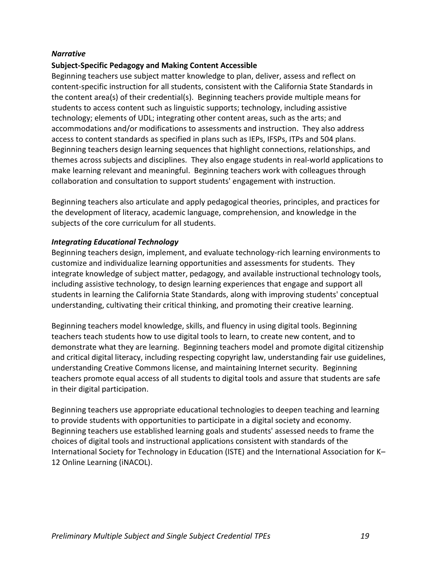### *Narrative*

### **Subject-Specific Pedagogy and Making Content Accessible**

Beginning teachers use subject matter knowledge to plan, deliver, assess and reflect on content-specific instruction for all students, consistent with the California State Standards in the content area(s) of their credential(s). Beginning teachers provide multiple means for students to access content such as linguistic supports; technology, including assistive technology; elements of UDL; integrating other content areas, such as the arts; and accommodations and/or modifications to assessments and instruction. They also address access to content standards as specified in plans such as IEPs, IFSPs, ITPs and 504 plans. Beginning teachers design learning sequences that highlight connections, relationships, and themes across subjects and disciplines. They also engage students in real-world applications to make learning relevant and meaningful. Beginning teachers work with colleagues through collaboration and consultation to support students' engagement with instruction.

Beginning teachers also articulate and apply pedagogical theories, principles, and practices for the development of literacy, academic language, comprehension, and knowledge in the subjects of the core curriculum for all students.

### *Integrating Educational Technology*

Beginning teachers design, implement, and evaluate technology-rich learning environments to customize and individualize learning opportunities and assessments for students. They integrate knowledge of subject matter, pedagogy, and available instructional technology tools, including assistive technology, to design learning experiences that engage and support all students in learning the California State Standards, along with improving students' conceptual understanding, cultivating their critical thinking, and promoting their creative learning.

Beginning teachers model knowledge, skills, and fluency in using digital tools. Beginning teachers teach students how to use digital tools to learn, to create new content, and to demonstrate what they are learning. Beginning teachers model and promote digital citizenship and critical digital literacy, including respecting copyright law, understanding fair use guidelines, understanding Creative Commons license, and maintaining Internet security. Beginning teachers promote equal access of all students to digital tools and assure that students are safe in their digital participation.

Beginning teachers use appropriate educational technologies to deepen teaching and learning to provide students with opportunities to participate in a digital society and economy. Beginning teachers use established learning goals and students' assessed needs to frame the choices of digital tools and instructional applications consistent with standards of the International Society for Technology in Education (ISTE) and the International Association for K– 12 Online Learning (iNACOL).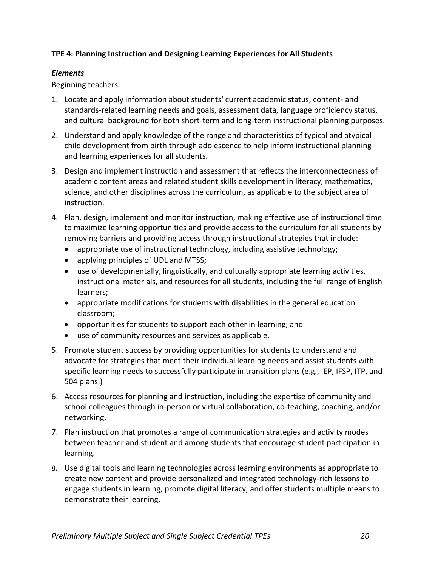### <span id="page-22-0"></span>**TPE 4: Planning Instruction and Designing Learning Experiences for All Students**

### *Elements*

Beginning teachers:

- 1. Locate and apply information about students' current academic status, content- and standards-related learning needs and goals, assessment data, language proficiency status, and cultural background for both short-term and long-term instructional planning purposes.
- 2. Understand and apply knowledge of the range and characteristics of typical and atypical child development from birth through adolescence to help inform instructional planning and learning experiences for all students.
- 3. Design and implement instruction and assessment that reflects the interconnectedness of academic content areas and related student skills development in literacy, mathematics, science, and other disciplines across the curriculum, as applicable to the subject area of instruction.
- 4. Plan, design, implement and monitor instruction, making effective use of instructional time to maximize learning opportunities and provide access to the curriculum for all students by removing barriers and providing access through instructional strategies that include:
	- appropriate use of instructional technology, including assistive technology;
	- applying principles of UDL and MTSS;
	- use of developmentally, linguistically, and culturally appropriate learning activities, instructional materials, and resources for all students, including the full range of English learners;
	- appropriate modifications for students with disabilities in the general education classroom;
	- opportunities for students to support each other in learning; and
	- use of community resources and services as applicable.
- 5. Promote student success by providing opportunities for students to understand and advocate for strategies that meet their individual learning needs and assist students with specific learning needs to successfully participate in transition plans (e.g., IEP, IFSP, ITP, and 504 plans.)
- 6. Access resources for planning and instruction, including the expertise of community and school colleagues through in-person or virtual collaboration, co-teaching, coaching, and/or networking.
- 7. Plan instruction that promotes a range of communication strategies and activity modes between teacher and student and among students that encourage student participation in learning.
- 8. Use digital tools and learning technologies across learning environments as appropriate to create new content and provide personalized and integrated technology-rich lessons to engage students in learning, promote digital literacy, and offer students multiple means to demonstrate their learning.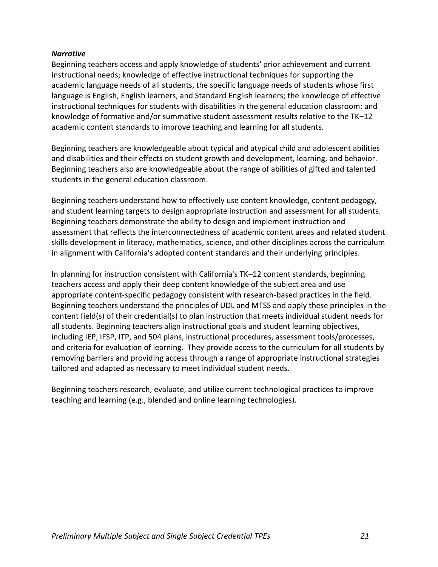### *Narrative*

Beginning teachers access and apply knowledge of students' prior achievement and current instructional needs; knowledge of effective instructional techniques for supporting the academic language needs of all students, the specific language needs of students whose first language is English, English learners, and Standard English learners; the knowledge of effective instructional techniques for students with disabilities in the general education classroom; and knowledge of formative and/or summative student assessment results relative to the TK–12 academic content standards to improve teaching and learning for all students.

Beginning teachers are knowledgeable about typical and atypical child and adolescent abilities and disabilities and their effects on student growth and development, learning, and behavior. Beginning teachers also are knowledgeable about the range of abilities of gifted and talented students in the general education classroom.

Beginning teachers understand how to effectively use content knowledge, content pedagogy, and student learning targets to design appropriate instruction and assessment for all students. Beginning teachers demonstrate the ability to design and implement instruction and assessment that reflects the interconnectedness of academic content areas and related student skills development in literacy, mathematics, science, and other disciplines across the curriculum in alignment with California's adopted content standards and their underlying principles.

In planning for instruction consistent with California's TK–12 content standards, beginning teachers access and apply their deep content knowledge of the subject area and use appropriate content-specific pedagogy consistent with research-based practices in the field. Beginning teachers understand the principles of UDL and MTSS and apply these principles in the content field(s) of their credential(s) to plan instruction that meets individual student needs for all students. Beginning teachers align instructional goals and student learning objectives, including IEP, IFSP, ITP, and 504 plans, instructional procedures, assessment tools/processes, and criteria for evaluation of learning. They provide access to the curriculum for all students by removing barriers and providing access through a range of appropriate instructional strategies tailored and adapted as necessary to meet individual student needs.

Beginning teachers research, evaluate, and utilize current technological practices to improve teaching and learning (e.g., blended and online learning technologies).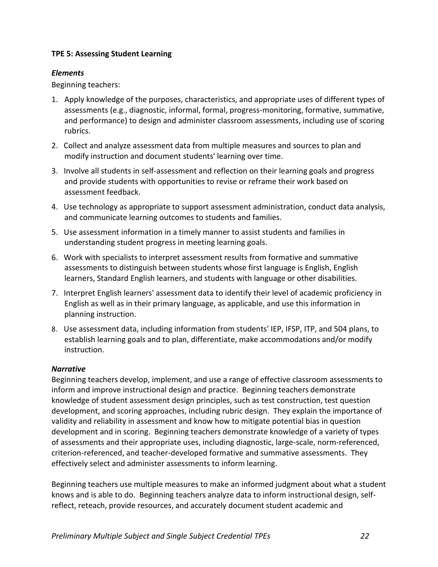### <span id="page-24-0"></span>**TPE 5: Assessing Student Learning**

### *Elements*

Beginning teachers:

- 1. Apply knowledge of the purposes, characteristics, and appropriate uses of different types of assessments (e.g., diagnostic, informal, formal, progress-monitoring, formative, summative, and performance) to design and administer classroom assessments, including use of scoring rubrics.
- 2. Collect and analyze assessment data from multiple measures and sources to plan and modify instruction and document students' learning over time.
- 3. Involve all students in self-assessment and reflection on their learning goals and progress and provide students with opportunities to revise or reframe their work based on assessment feedback.
- 4. Use technology as appropriate to support assessment administration, conduct data analysis, and communicate learning outcomes to students and families.
- 5. Use assessment information in a timely manner to assist students and families in understanding student progress in meeting learning goals.
- 6. Work with specialists to interpret assessment results from formative and summative assessments to distinguish between students whose first language is English, English learners, Standard English learners, and students with language or other disabilities.
- 7. Interpret English learners' assessment data to identify their level of academic proficiency in English as well as in their primary language, as applicable, and use this information in planning instruction.
- 8. Use assessment data, including information from students' IEP, IFSP, ITP, and 504 plans, to establish learning goals and to plan, differentiate, make accommodations and/or modify instruction.

### *Narrative*

Beginning teachers develop, implement, and use a range of effective classroom assessments to inform and improve instructional design and practice. Beginning teachers demonstrate knowledge of student assessment design principles, such as test construction, test question development, and scoring approaches, including rubric design. They explain the importance of validity and reliability in assessment and know how to mitigate potential bias in question development and in scoring. Beginning teachers demonstrate knowledge of a variety of types of assessments and their appropriate uses, including diagnostic, large-scale, norm-referenced, criterion-referenced, and teacher-developed formative and summative assessments. They effectively select and administer assessments to inform learning.

Beginning teachers use multiple measures to make an informed judgment about what a student knows and is able to do. Beginning teachers analyze data to inform instructional design, selfreflect, reteach, provide resources, and accurately document student academic and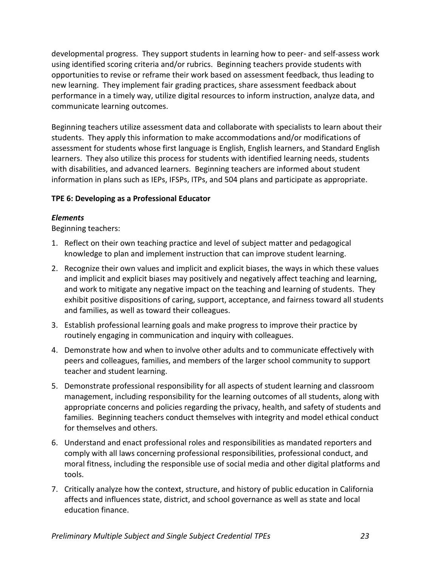developmental progress. They support students in learning how to peer- and self-assess work using identified scoring criteria and/or rubrics. Beginning teachers provide students with opportunities to revise or reframe their work based on assessment feedback, thus leading to new learning. They implement fair grading practices, share assessment feedback about performance in a timely way, utilize digital resources to inform instruction, analyze data, and communicate learning outcomes.

Beginning teachers utilize assessment data and collaborate with specialists to learn about their students. They apply this information to make accommodations and/or modifications of assessment for students whose first language is English, English learners, and Standard English learners. They also utilize this process for students with identified learning needs, students with disabilities, and advanced learners. Beginning teachers are informed about student information in plans such as IEPs, IFSPs, ITPs, and 504 plans and participate as appropriate.

### <span id="page-25-0"></span>**TPE 6: Developing as a Professional Educator**

### *Elements*

Beginning teachers:

- 1. Reflect on their own teaching practice and level of subject matter and pedagogical knowledge to plan and implement instruction that can improve student learning.
- 2. Recognize their own values and implicit and explicit biases, the ways in which these values and implicit and explicit biases may positively and negatively affect teaching and learning, and work to mitigate any negative impact on the teaching and learning of students. They exhibit positive dispositions of caring, support, acceptance, and fairness toward all students and families, as well as toward their colleagues.
- 3. Establish professional learning goals and make progress to improve their practice by routinely engaging in communication and inquiry with colleagues.
- 4. Demonstrate how and when to involve other adults and to communicate effectively with peers and colleagues, families, and members of the larger school community to support teacher and student learning.
- 5. Demonstrate professional responsibility for all aspects of student learning and classroom management, including responsibility for the learning outcomes of all students, along with appropriate concerns and policies regarding the privacy, health, and safety of students and families. Beginning teachers conduct themselves with integrity and model ethical conduct for themselves and others.
- 6. Understand and enact professional roles and responsibilities as mandated reporters and comply with all laws concerning professional responsibilities, professional conduct, and moral fitness, including the responsible use of social media and other digital platforms and tools.
- 7. Critically analyze how the context, structure, and history of public education in California affects and influences state, district, and school governance as well as state and local education finance.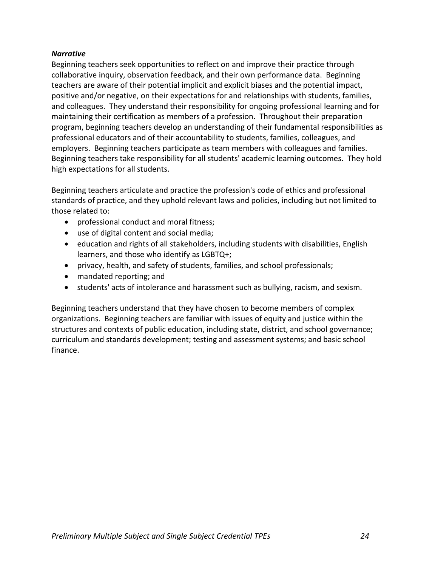### *Narrative*

Beginning teachers seek opportunities to reflect on and improve their practice through collaborative inquiry, observation feedback, and their own performance data. Beginning teachers are aware of their potential implicit and explicit biases and the potential impact, positive and/or negative, on their expectations for and relationships with students, families, and colleagues. They understand their responsibility for ongoing professional learning and for maintaining their certification as members of a profession. Throughout their preparation program, beginning teachers develop an understanding of their fundamental responsibilities as professional educators and of their accountability to students, families, colleagues, and employers. Beginning teachers participate as team members with colleagues and families. Beginning teachers take responsibility for all students' academic learning outcomes. They hold high expectations for all students.

Beginning teachers articulate and practice the profession's code of ethics and professional standards of practice, and they uphold relevant laws and policies, including but not limited to those related to:

- professional conduct and moral fitness;
- use of digital content and social media;
- education and rights of all stakeholders, including students with disabilities, English learners, and those who identify as LGBTQ+;
- privacy, health, and safety of students, families, and school professionals;
- mandated reporting; and
- students' acts of intolerance and harassment such as bullying, racism, and sexism.

Beginning teachers understand that they have chosen to become members of complex organizations. Beginning teachers are familiar with issues of equity and justice within the structures and contexts of public education, including state, district, and school governance; curriculum and standards development; testing and assessment systems; and basic school finance.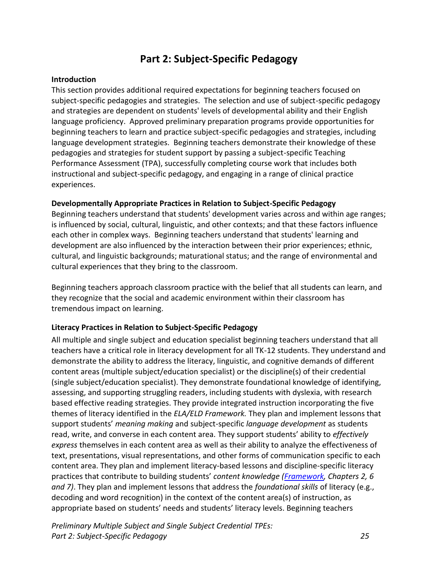# **Part 2: Subject-Specific Pedagogy**

### <span id="page-27-1"></span><span id="page-27-0"></span>**Introduction**

This section provides additional required expectations for beginning teachers focused on subject-specific pedagogies and strategies. The selection and use of subject-specific pedagogy and strategies are dependent on students' levels of developmental ability and their English language proficiency. Approved preliminary preparation programs provide opportunities for beginning teachers to learn and practice subject-specific pedagogies and strategies, including language development strategies. Beginning teachers demonstrate their knowledge of these pedagogies and strategies for student support by passing a subject-specific Teaching Performance Assessment (TPA), successfully completing course work that includes both instructional and subject-specific pedagogy, and engaging in a range of clinical practice experiences.

### <span id="page-27-2"></span>**Developmentally Appropriate Practices in Relation to Subject-Specific Pedagogy**

Beginning teachers understand that students' development varies across and within age ranges; is influenced by social, cultural, linguistic, and other contexts; and that these factors influence each other in complex ways. Beginning teachers understand that students' learning and development are also influenced by the interaction between their prior experiences; ethnic, cultural, and linguistic backgrounds; maturational status; and the range of environmental and cultural experiences that they bring to the classroom.

Beginning teachers approach classroom practice with the belief that all students can learn, and they recognize that the social and academic environment within their classroom has tremendous impact on learning.

### <span id="page-27-3"></span>**Literacy Practices in Relation to Subject-Specific Pedagogy**

All multiple and single subject and education specialist beginning teachers understand that all teachers have a critical role in literacy development for all TK-12 students. They understand and demonstrate the ability to address the literacy, linguistic, and cognitive demands of different content areas (multiple subject/education specialist) or the discipline(s) of their credential (single subject/education specialist). They demonstrate foundational knowledge of identifying, assessing, and supporting struggling readers, including students with dyslexia, with research based effective reading strategies. They provide integrated instruction incorporating the five themes of literacy identified in the *ELA/ELD Framework.* They plan and implement lessons that support students' *meaning making* and subject-specific *language development* as students read, write, and converse in each content area*.* They support students' ability to *effectively express* themselves in each content area as well as their ability to analyze the effectiveness of text, presentations, visual representations, and other forms of communication specific to each content area. They plan and implement literacy-based lessons and discipline-specific literacy practices that contribute to building students' *content knowledge [\(Framework,](https://www.cde.ca.gov/ci/rl/cf/elaeldfrmwrkchptrs2014.asp) Chapters 2, 6 and 7)*. They plan and implement lessons that address the *foundational skills* of literacy (e.g., decoding and word recognition) in the context of the content area(s) of instruction, as appropriate based on students' needs and students' literacy levels. Beginning teachers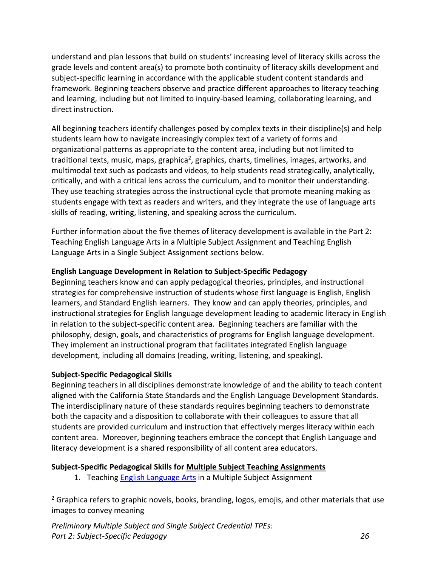understand and plan lessons that build on students' increasing level of literacy skills across the grade levels and content area(s) to promote both continuity of literacy skills development and subject-specific learning in accordance with the applicable student content standards and framework. Beginning teachers observe and practice different approaches to literacy teaching and learning, including but not limited to inquiry-based learning, collaborating learning, and direct instruction.

All beginning teachers identify challenges posed by complex texts in their discipline(s) and help students learn how to navigate increasingly complex text of a variety of forms and organizational patterns as appropriate to the content area, including but not limited to traditional texts, music, maps, graphica<sup>2</sup>, graphics, charts, timelines, images, artworks, and multimodal text such as podcasts and videos, to help students read strategically, analytically, critically, and with a critical lens across the curriculum, and to monitor their understanding. They use teaching strategies across the instructional cycle that promote meaning making as students engage with text as readers and writers, and they integrate the use of language arts skills of reading, writing, listening, and speaking across the curriculum.

Further information about the five themes of literacy development is available in the Part 2: Teaching English Language Arts in a Multiple Subject Assignment and Teaching English Language Arts in a Single Subject Assignment sections below.

# <span id="page-28-0"></span>**English Language Development in Relation to Subject-Specific Pedagogy**

Beginning teachers know and can apply pedagogical theories, principles, and instructional strategies for comprehensive instruction of students whose first language is English, English learners, and Standard English learners. They know and can apply theories, principles, and instructional strategies for English language development leading to academic literacy in English in relation to the subject-specific content area. Beginning teachers are familiar with the philosophy, design, goals, and characteristics of programs for English language development. They implement an instructional program that facilitates integrated English language development, including all domains (reading, writing, listening, and speaking).

### <span id="page-28-1"></span>**Subject-Specific Pedagogical Skills**

Beginning teachers in all disciplines demonstrate knowledge of and the ability to teach content aligned with the California State Standards and the English Language Development Standards. The interdisciplinary nature of these standards requires beginning teachers to demonstrate both the capacity and a disposition to collaborate with their colleagues to assure that all students are provided curriculum and instruction that effectively merges literacy within each content area. Moreover, beginning teachers embrace the concept that English Language and literacy development is a shared responsibility of all content area educators.

# <span id="page-28-2"></span>**Subject-Specific Pedagogical Skills for Multiple Subject Teaching Assignments**

1. Teaching [English Language Arts](#page-29-0) in a Multiple Subject Assignment

 $2$  Graphica refers to graphic novels, books, branding, logos, emojis, and other materials that use images to convey meaning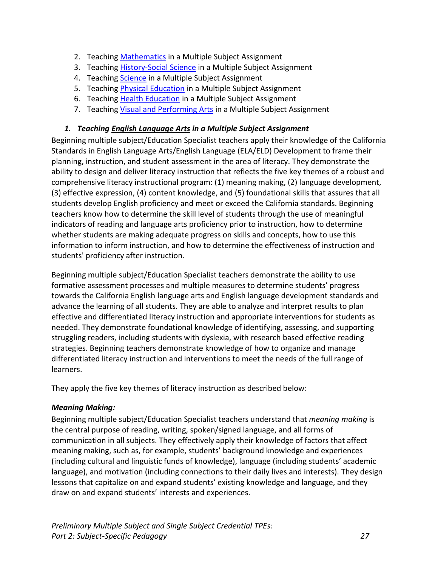- 2. Teaching [Mathematics](#page-29-0) in a Multiple Subject Assignment
- 3. Teaching [History-Social Science](#page-33-0) in a Multiple Subject Assignment
- 4. Teaching [Science](#page-34-0) in a Multiple Subject Assignment
- 5. Teaching [Physical Education](#page-34-1) in a Multiple Subject Assignment
- 6. Teaching [Health Education](#page-35-0) in a Multiple Subject Assignment
- 7. Teaching [Visual and Performing Arts](#page-35-1) in a Multiple Subject Assignment

### <span id="page-29-0"></span>*1. Teaching English Language Arts in a Multiple Subject Assignment*

Beginning multiple subject/Education Specialist teachers apply their knowledge of the California Standards in English Language Arts/English Language (ELA/ELD) Development to frame their planning, instruction, and student assessment in the area of literacy. They demonstrate the ability to design and deliver literacy instruction that reflects the five key themes of a robust and comprehensive literacy instructional program: (1) meaning making, (2) language development, (3) effective expression, (4) content knowledge, and (5) foundational skills that assures that all students develop English proficiency and meet or exceed the California standards. Beginning teachers know how to determine the skill level of students through the use of meaningful indicators of reading and language arts proficiency prior to instruction, how to determine whether students are making adequate progress on skills and concepts, how to use this information to inform instruction, and how to determine the effectiveness of instruction and students' proficiency after instruction.

Beginning multiple subject/Education Specialist teachers demonstrate the ability to use formative assessment processes and multiple measures to determine students' progress towards the California English language arts and English language development standards and advance the learning of all students. They are able to analyze and interpret results to plan effective and differentiated literacy instruction and appropriate interventions for students as needed. They demonstrate foundational knowledge of identifying, assessing, and supporting struggling readers, including students with dyslexia, with research based effective reading strategies. Beginning teachers demonstrate knowledge of how to organize and manage differentiated literacy instruction and interventions to meet the needs of the full range of learners.

They apply the five key themes of literacy instruction as described below:

### *Meaning Making:*

Beginning multiple subject/Education Specialist teachers understand that *meaning making* is the central purpose of reading, writing, spoken/signed language, and all forms of communication in all subjects. They effectively apply their knowledge of factors that affect meaning making, such as, for example, students' background knowledge and experiences (including cultural and linguistic funds of knowledge), language (including students' academic language), and motivation (including connections to their daily lives and interests). They design lessons that capitalize on and expand students' existing knowledge and language, and they draw on and expand students' interests and experiences.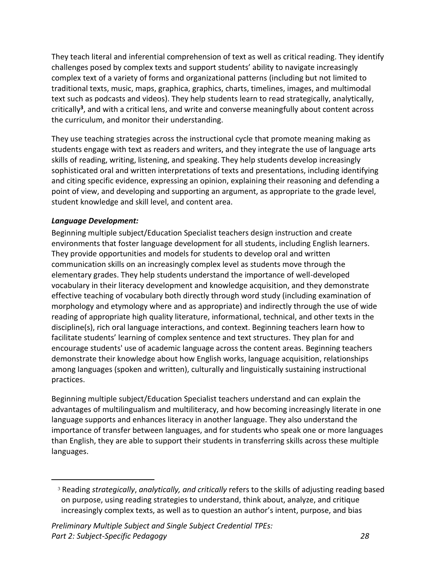They teach literal and inferential comprehension of text as well as critical reading. They identify challenges posed by complex texts and support students' ability to navigate increasingly complex text of a variety of forms and organizational patterns (including but not limited to traditional texts, music, maps, graphica, graphics, charts, timelines, images, and multimodal text such as podcasts and videos). They help students learn to read strategically, analytically, critically**<sup>3</sup>** , and with a critical lens, and write and converse meaningfully about content across the curriculum, and monitor their understanding.

They use teaching strategies across the instructional cycle that promote meaning making as students engage with text as readers and writers, and they integrate the use of language arts skills of reading, writing, listening, and speaking. They help students develop increasingly sophisticated oral and written interpretations of texts and presentations, including identifying and citing specific evidence, expressing an opinion, explaining their reasoning and defending a point of view, and developing and supporting an argument, as appropriate to the grade level, student knowledge and skill level, and content area.

# *Language Development:*

Beginning multiple subject/Education Specialist teachers design instruction and create environments that foster language development for all students, including English learners. They provide opportunities and models for students to develop oral and written communication skills on an increasingly complex level as students move through the elementary grades. They help students understand the importance of well-developed vocabulary in their literacy development and knowledge acquisition, and they demonstrate effective teaching of vocabulary both directly through word study (including examination of morphology and etymology where and as appropriate) and indirectly through the use of wide reading of appropriate high quality literature, informational, technical, and other texts in the discipline(s), rich oral language interactions, and context. Beginning teachers learn how to facilitate students' learning of complex sentence and text structures. They plan for and encourage students' use of academic language across the content areas. Beginning teachers demonstrate their knowledge about how English works, language acquisition, relationships among languages (spoken and written), culturally and linguistically sustaining instructional practices.

Beginning multiple subject/Education Specialist teachers understand and can explain the advantages of multilingualism and multiliteracy, and how becoming increasingly literate in one language supports and enhances literacy in another language. They also understand the importance of transfer between languages, and for students who speak one or more languages than English, they are able to support their students in transferring skills across these multiple languages.

<sup>3</sup> Reading *strategically*, *analytically, and critically* refers to the skills of adjusting reading based on purpose, using reading strategies to understand, think about, analyze, and critique increasingly complex texts, as well as to question an author's intent, purpose, and bias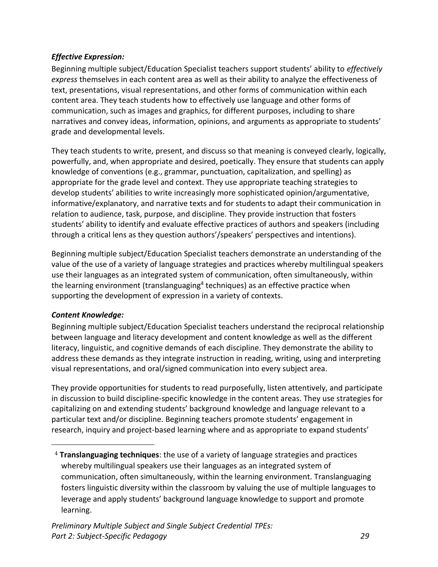# *Effective Expression:*

Beginning multiple subject/Education Specialist teachers support students' ability to *effectively express* themselves in each content area as well as their ability to analyze the effectiveness of text, presentations, visual representations, and other forms of communication within each content area. They teach students how to effectively use language and other forms of communication, such as images and graphics, for different purposes, including to share narratives and convey ideas, information, opinions, and arguments as appropriate to students' grade and developmental levels.

They teach students to write, present, and discuss so that meaning is conveyed clearly, logically, powerfully, and, when appropriate and desired, poetically. They ensure that students can apply knowledge of conventions (e.g., grammar, punctuation, capitalization, and spelling) as appropriate for the grade level and context. They use appropriate teaching strategies to develop students' abilities to write increasingly more sophisticated opinion/argumentative, informative/explanatory, and narrative texts and for students to adapt their communication in relation to audience, task, purpose, and discipline. They provide instruction that fosters students' ability to identify and evaluate effective practices of authors and speakers (including through a critical lens as they question authors'/speakers' perspectives and intentions).

Beginning multiple subject/Education Specialist teachers demonstrate an understanding of the value of the use of a variety of language strategies and practices whereby multilingual speakers use their languages as an integrated system of communication, often simultaneously, within the learning environment (translanguaging<sup>4</sup> techniques) as an effective practice when supporting the development of expression in a variety of contexts.

# *Content Knowledge:*

Beginning multiple subject/Education Specialist teachers understand the reciprocal relationship between language and literacy development and content knowledge as well as the different literacy, linguistic, and cognitive demands of each discipline. They demonstrate the ability to address these demands as they integrate instruction in reading, writing, using and interpreting visual representations, and oral/signed communication into every subject area.

They provide opportunities for students to read purposefully, listen attentively, and participate in discussion to build discipline-specific knowledge in the content areas. They use strategies for capitalizing on and extending students' background knowledge and language relevant to a particular text and/or discipline. Beginning teachers promote students' engagement in research, inquiry and project-based learning where and as appropriate to expand students'

<sup>4</sup> **Translanguaging techniques**: the use of a variety of language strategies and practices whereby multilingual speakers use their languages as an integrated system of communication, often simultaneously, within the learning environment. Translanguaging fosters linguistic diversity within the classroom by valuing the use of multiple languages to leverage and apply students' background language knowledge to support and promote learning.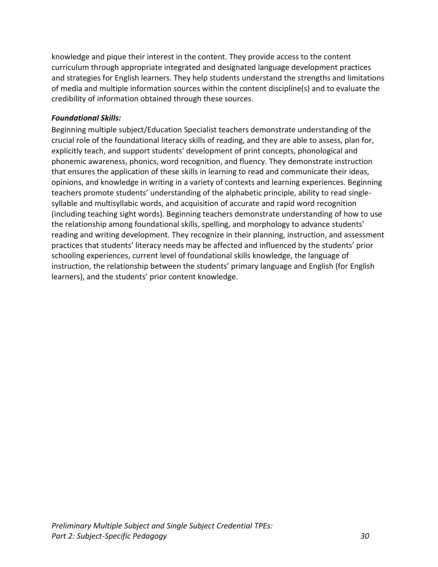knowledge and pique their interest in the content. They provide access to the content curriculum through appropriate integrated and designated language development practices and strategies for English learners. They help students understand the strengths and limitations of media and multiple information sources within the content discipline(s) and to evaluate the credibility of information obtained through these sources.

### *Foundational Skills:*

Beginning multiple subject/Education Specialist teachers demonstrate understanding of the crucial role of the foundational literacy skills of reading, and they are able to assess, plan for, explicitly teach, and support students' development of print concepts, phonological and phonemic awareness, phonics, word recognition, and fluency. They demonstrate instruction that ensures the application of these skills in learning to read and communicate their ideas, opinions, and knowledge in writing in a variety of contexts and learning experiences. Beginning teachers promote students' understanding of the alphabetic principle, ability to read singlesyllable and multisyllabic words, and acquisition of accurate and rapid word recognition (including teaching sight words). Beginning teachers demonstrate understanding of how to use the relationship among foundational skills, spelling, and morphology to advance students' reading and writing development. They recognize in their planning, instruction, and assessment practices that students' literacy needs may be affected and influenced by the students' prior schooling experiences, current level of foundational skills knowledge, the language of instruction, the relationship between the students' primary language and English (for English learners), and the students' prior content knowledge.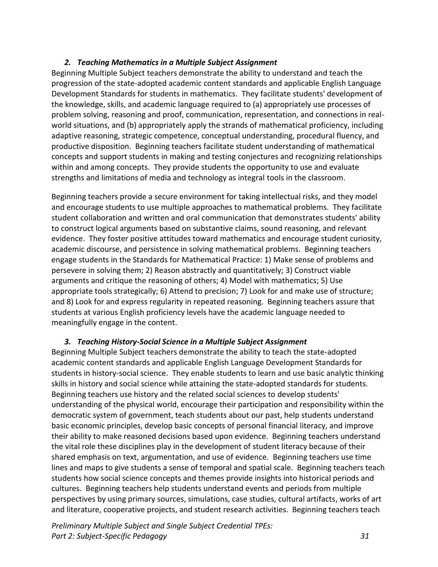### *2. Teaching Mathematics in a Multiple Subject Assignment*

Beginning Multiple Subject teachers demonstrate the ability to understand and teach the progression of the state-adopted academic content standards and applicable English Language Development Standards for students in mathematics. They facilitate students' development of the knowledge, skills, and academic language required to (a) appropriately use processes of problem solving, reasoning and proof, communication, representation, and connections in realworld situations, and (b) appropriately apply the strands of mathematical proficiency, including adaptive reasoning, strategic competence, conceptual understanding, procedural fluency, and productive disposition. Beginning teachers facilitate student understanding of mathematical concepts and support students in making and testing conjectures and recognizing relationships within and among concepts. They provide students the opportunity to use and evaluate strengths and limitations of media and technology as integral tools in the classroom.

Beginning teachers provide a secure environment for taking intellectual risks, and they model and encourage students to use multiple approaches to mathematical problems. They facilitate student collaboration and written and oral communication that demonstrates students' ability to construct logical arguments based on substantive claims, sound reasoning, and relevant evidence. They foster positive attitudes toward mathematics and encourage student curiosity, academic discourse, and persistence in solving mathematical problems. Beginning teachers engage students in the Standards for Mathematical Practice: 1) Make sense of problems and persevere in solving them; 2) Reason abstractly and quantitatively; 3) Construct viable arguments and critique the reasoning of others; 4) Model with mathematics; 5) Use appropriate tools strategically; 6) Attend to precision; 7) Look for and make use of structure; and 8) Look for and express regularity in repeated reasoning. Beginning teachers assure that students at various English proficiency levels have the academic language needed to meaningfully engage in the content.

### <span id="page-33-0"></span>*3. Teaching History-Social Science in a Multiple Subject Assignment*

Beginning Multiple Subject teachers demonstrate the ability to teach the state-adopted academic content standards and applicable English Language Development Standards for students in history-social science. They enable students to learn and use basic analytic thinking skills in history and social science while attaining the state-adopted standards for students. Beginning teachers use history and the related social sciences to develop students' understanding of the physical world, encourage their participation and responsibility within the democratic system of government, teach students about our past, help students understand basic economic principles, develop basic concepts of personal financial literacy, and improve their ability to make reasoned decisions based upon evidence. Beginning teachers understand the vital role these disciplines play in the development of student literacy because of their shared emphasis on text, argumentation, and use of evidence. Beginning teachers use time lines and maps to give students a sense of temporal and spatial scale. Beginning teachers teach students how social science concepts and themes provide insights into historical periods and cultures. Beginning teachers help students understand events and periods from multiple perspectives by using primary sources, simulations, case studies, cultural artifacts, works of art and literature, cooperative projects, and student research activities. Beginning teachers teach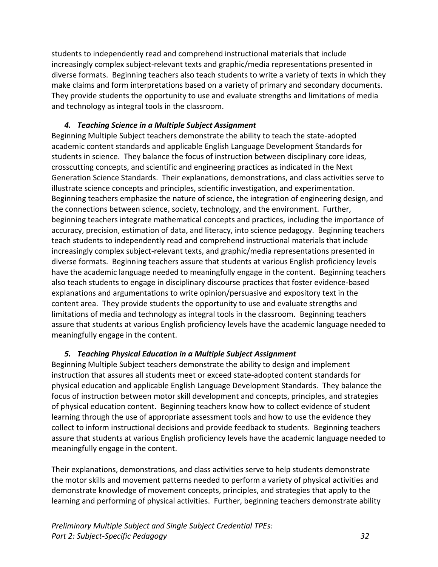students to independently read and comprehend instructional materials that include increasingly complex subject-relevant texts and graphic/media representations presented in diverse formats. Beginning teachers also teach students to write a variety of texts in which they make claims and form interpretations based on a variety of primary and secondary documents. They provide students the opportunity to use and evaluate strengths and limitations of media and technology as integral tools in the classroom.

### <span id="page-34-0"></span>*4. Teaching Science in a Multiple Subject Assignment*

Beginning Multiple Subject teachers demonstrate the ability to teach the state-adopted academic content standards and applicable English Language Development Standards for students in science. They balance the focus of instruction between disciplinary core ideas, crosscutting concepts, and scientific and engineering practices as indicated in the Next Generation Science Standards. Their explanations, demonstrations, and class activities serve to illustrate science concepts and principles, scientific investigation, and experimentation. Beginning teachers emphasize the nature of science, the integration of engineering design, and the connections between science, society, technology, and the environment. Further, beginning teachers integrate mathematical concepts and practices, including the importance of accuracy, precision, estimation of data, and literacy, into science pedagogy. Beginning teachers teach students to independently read and comprehend instructional materials that include increasingly complex subject-relevant texts, and graphic/media representations presented in diverse formats. Beginning teachers assure that students at various English proficiency levels have the academic language needed to meaningfully engage in the content. Beginning teachers also teach students to engage in disciplinary discourse practices that foster evidence-based explanations and argumentations to write opinion/persuasive and expository text in the content area. They provide students the opportunity to use and evaluate strengths and limitations of media and technology as integral tools in the classroom. Beginning teachers assure that students at various English proficiency levels have the academic language needed to meaningfully engage in the content.

### <span id="page-34-1"></span>*5. Teaching Physical Education in a Multiple Subject Assignment*

Beginning Multiple Subject teachers demonstrate the ability to design and implement instruction that assures all students meet or exceed state-adopted content standards for physical education and applicable English Language Development Standards. They balance the focus of instruction between motor skill development and concepts, principles, and strategies of physical education content. Beginning teachers know how to collect evidence of student learning through the use of appropriate assessment tools and how to use the evidence they collect to inform instructional decisions and provide feedback to students. Beginning teachers assure that students at various English proficiency levels have the academic language needed to meaningfully engage in the content.

Their explanations, demonstrations, and class activities serve to help students demonstrate the motor skills and movement patterns needed to perform a variety of physical activities and demonstrate knowledge of movement concepts, principles, and strategies that apply to the learning and performing of physical activities. Further, beginning teachers demonstrate ability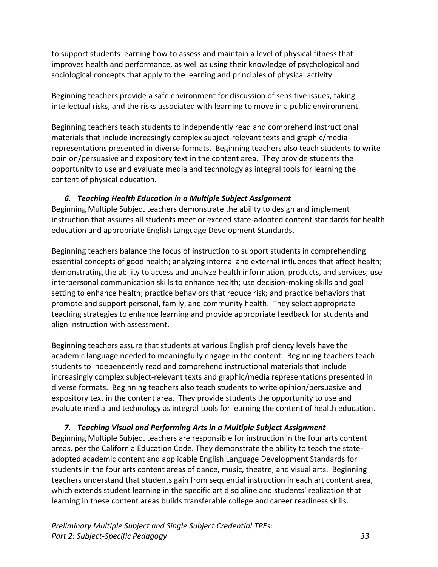to support students learning how to assess and maintain a level of physical fitness that improves health and performance, as well as using their knowledge of psychological and sociological concepts that apply to the learning and principles of physical activity.

Beginning teachers provide a safe environment for discussion of sensitive issues, taking intellectual risks, and the risks associated with learning to move in a public environment.

Beginning teachers teach students to independently read and comprehend instructional materials that include increasingly complex subject-relevant texts and graphic/media representations presented in diverse formats. Beginning teachers also teach students to write opinion/persuasive and expository text in the content area. They provide students the opportunity to use and evaluate media and technology as integral tools for learning the content of physical education.

# <span id="page-35-0"></span>*6. Teaching Health Education in a Multiple Subject Assignment*

Beginning Multiple Subject teachers demonstrate the ability to design and implement instruction that assures all students meet or exceed state-adopted content standards for health education and appropriate English Language Development Standards.

Beginning teachers balance the focus of instruction to support students in comprehending essential concepts of good health; analyzing internal and external influences that affect health; demonstrating the ability to access and analyze health information, products, and services; use interpersonal communication skills to enhance health; use decision-making skills and goal setting to enhance health; practice behaviors that reduce risk; and practice behaviors that promote and support personal, family, and community health. They select appropriate teaching strategies to enhance learning and provide appropriate feedback for students and align instruction with assessment.

Beginning teachers assure that students at various English proficiency levels have the academic language needed to meaningfully engage in the content. Beginning teachers teach students to independently read and comprehend instructional materials that include increasingly complex subject-relevant texts and graphic/media representations presented in diverse formats. Beginning teachers also teach students to write opinion/persuasive and expository text in the content area. They provide students the opportunity to use and evaluate media and technology as integral tools for learning the content of health education.

# <span id="page-35-1"></span>*7. Teaching Visual and Performing Arts in a Multiple Subject Assignment*

Beginning Multiple Subject teachers are responsible for instruction in the four arts content areas, per the California Education Code. They demonstrate the ability to teach the stateadopted academic content and applicable English Language Development Standards for students in the four arts content areas of dance, music, theatre, and visual arts. Beginning teachers understand that students gain from sequential instruction in each art content area, which extends student learning in the specific art discipline and students' realization that learning in these content areas builds transferable college and career readiness skills.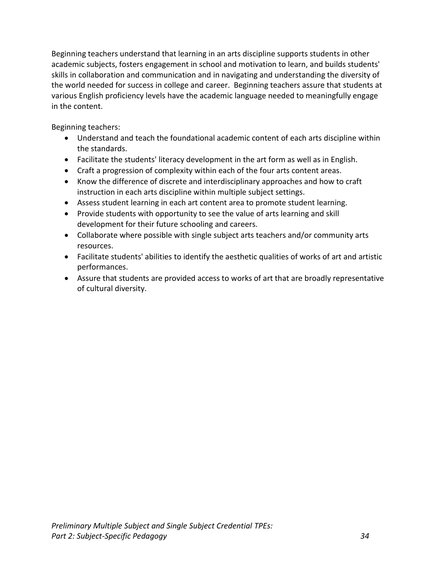Beginning teachers understand that learning in an arts discipline supports students in other academic subjects, fosters engagement in school and motivation to learn, and builds students' skills in collaboration and communication and in navigating and understanding the diversity of the world needed for success in college and career. Beginning teachers assure that students at various English proficiency levels have the academic language needed to meaningfully engage in the content.

Beginning teachers:

- Understand and teach the foundational academic content of each arts discipline within the standards.
- Facilitate the students' literacy development in the art form as well as in English.
- Craft a progression of complexity within each of the four arts content areas.
- Know the difference of discrete and interdisciplinary approaches and how to craft instruction in each arts discipline within multiple subject settings.
- Assess student learning in each art content area to promote student learning.
- Provide students with opportunity to see the value of arts learning and skill development for their future schooling and careers.
- Collaborate where possible with single subject arts teachers and/or community arts resources.
- Facilitate students' abilities to identify the aesthetic qualities of works of art and artistic performances.
- Assure that students are provided access to works of art that are broadly representative of cultural diversity.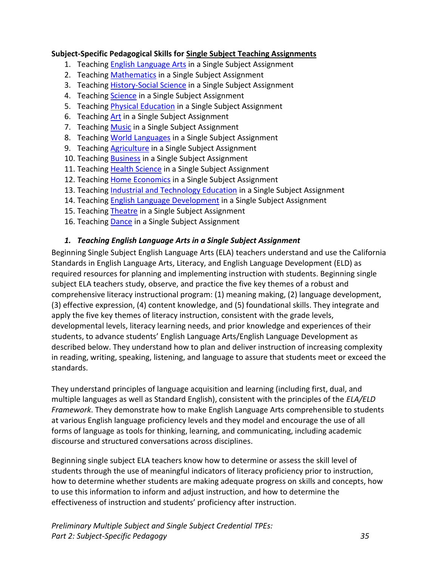### <span id="page-37-0"></span>**Subject-Specific Pedagogical Skills for Single Subject Teaching Assignments**

- 1. Teaching [English Language Arts](#page-37-1) in a Single Subject Assignment
- 2. Teaching [Mathematics](#page-37-1) in a Single Subject Assignment
- 3. Teaching **History-Social Science** in a Single Subject Assignment
- 4. Teaching [Science](#page-43-0) in a Single Subject Assignment
- 5. Teaching [Physical Education](#page-43-1) in a Single Subject Assignment
- 6. Teaching [Art](#page-44-0) in a Single Subject Assignment
- 7. Teaching [Music](#page-46-0) in a Single Subject Assignment
- 8. Teaching [World Languages](#page-47-0) in a Single Subject Assignment
- 9. Teaching [Agriculture](#page-48-0) in a Single Subject Assignment
- 10. Teaching [Business](#page-48-1) in a Single Subject Assignment
- 11. Teaching [Health](#page-49-0) Science in a Single Subject Assignment
- 12. Teaching [Home Economics](#page-50-0) in a Single Subject Assignment
- 13. Teaching [Industrial and Technology Education](#page-51-0) in a Single Subject Assignment
- 14. Teaching **English Language Development** in a Single Subject Assignment
- 15. Teaching [Theatre](#page-53-0) in a Single Subject Assignment
- 16. Teaching [Dance](#page-54-0) in a Single Subject Assignment

# <span id="page-37-1"></span>*1. Teaching English Language Arts in a Single Subject Assignment*

Beginning Single Subject English Language Arts (ELA) teachers understand and use the California Standards in English Language Arts, Literacy, and English Language Development (ELD) as required resources for planning and implementing instruction with students. Beginning single subject ELA teachers study, observe, and practice the five key themes of a robust and comprehensive literacy instructional program: (1) meaning making, (2) language development, (3) effective expression, (4) content knowledge, and (5) foundational skills. They integrate and apply the five key themes of literacy instruction, consistent with the grade levels, developmental levels, literacy learning needs, and prior knowledge and experiences of their students, to advance students' English Language Arts/English Language Development as described below. They understand how to plan and deliver instruction of increasing complexity in reading, writing, speaking, listening, and language to assure that students meet or exceed the standards.

They understand principles of language acquisition and learning (including first, dual, and multiple languages as well as Standard English), consistent with the principles of the *ELA/ELD Framework*. They demonstrate how to make English Language Arts comprehensible to students at various English language proficiency levels and they model and encourage the use of all forms of language as tools for thinking, learning, and communicating, including academic discourse and structured conversations across disciplines.

Beginning single subject ELA teachers know how to determine or assess the skill level of students through the use of meaningful indicators of literacy proficiency prior to instruction, how to determine whether students are making adequate progress on skills and concepts, how to use this information to inform and adjust instruction, and how to determine the effectiveness of instruction and students' proficiency after instruction.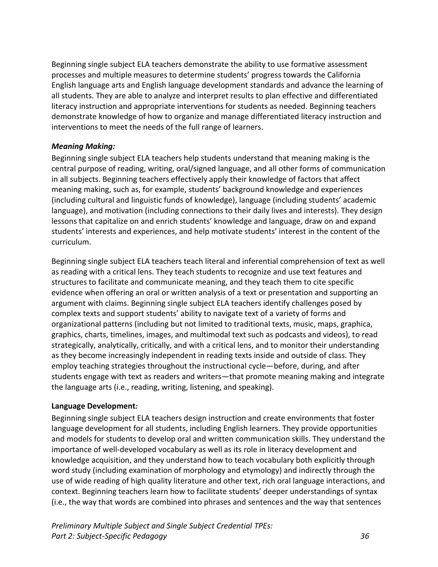Beginning single subject ELA teachers demonstrate the ability to use formative assessment processes and multiple measures to determine students' progress towards the California English language arts and English language development standards and advance the learning of all students. They are able to analyze and interpret results to plan effective and differentiated literacy instruction and appropriate interventions for students as needed. Beginning teachers demonstrate knowledge of how to organize and manage differentiated literacy instruction and interventions to meet the needs of the full range of learners.

### *Meaning Making:*

Beginning single subject ELA teachers help students understand that meaning making is the central purpose of reading, writing, oral/signed language, and all other forms of communication in all subjects. Beginning teachers effectively apply their knowledge of factors that affect meaning making, such as, for example, students' background knowledge and experiences (including cultural and linguistic funds of knowledge), language (including students' academic language), and motivation (including connections to their daily lives and interests). They design lessons that capitalize on and enrich students' knowledge and language, draw on and expand students' interests and experiences, and help motivate students' interest in the content of the curriculum.

Beginning single subject ELA teachers teach literal and inferential comprehension of text as well as reading with a critical lens. They teach students to recognize and use text features and structures to facilitate and communicate meaning, and they teach them to cite specific evidence when offering an oral or written analysis of a text or presentation and supporting an argument with claims. Beginning single subject ELA teachers identify challenges posed by complex texts and support students' ability to navigate text of a variety of forms and organizational patterns (including but not limited to traditional texts, music, maps, graphica, graphics, charts, timelines, images, and multimodal text such as podcasts and videos), to read strategically, analytically, critically, and with a critical lens, and to monitor their understanding as they become increasingly independent in reading texts inside and outside of class. They employ teaching strategies throughout the instructional cycle—before, during, and after students engage with text as readers and writers—that promote meaning making and integrate the language arts (i.e., reading, writing, listening, and speaking).

### **Language Development***:*

Beginning single subject ELA teachers design instruction and create environments that foster language development for all students, including English learners. They provide opportunities and models for students to develop oral and written communication skills. They understand the importance of well-developed vocabulary as well as its role in literacy development and knowledge acquisition, and they understand how to teach vocabulary both explicitly through word study (including examination of morphology and etymology) and indirectly through the use of wide reading of high quality literature and other text, rich oral language interactions, and context. Beginning teachers learn how to facilitate students' deeper understandings of syntax (i.e., the way that words are combined into phrases and sentences and the way that sentences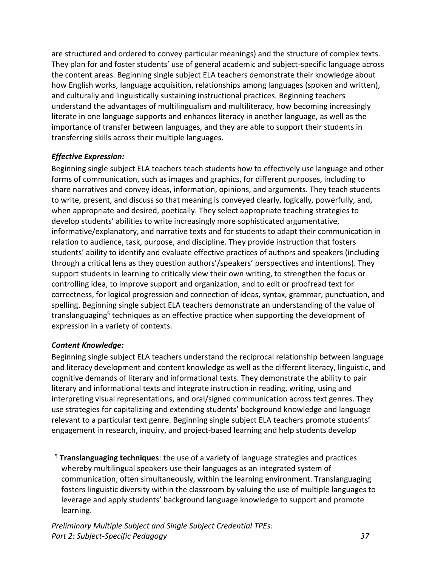are structured and ordered to convey particular meanings) and the structure of complex texts. They plan for and foster students' use of general academic and subject-specific language across the content areas. Beginning single subject ELA teachers demonstrate their knowledge about how English works, language acquisition, relationships among languages (spoken and written), and culturally and linguistically sustaining instructional practices. Beginning teachers understand the advantages of multilingualism and multiliteracy, how becoming increasingly literate in one language supports and enhances literacy in another language, as well as the importance of transfer between languages, and they are able to support their students in transferring skills across their multiple languages.

# *Effective Expression:*

Beginning single subject ELA teachers teach students how to effectively use language and other forms of communication, such as images and graphics, for different purposes, including to share narratives and convey ideas, information, opinions, and arguments. They teach students to write, present, and discuss so that meaning is conveyed clearly, logically, powerfully, and, when appropriate and desired, poetically. They select appropriate teaching strategies to develop students' abilities to write increasingly more sophisticated argumentative, informative/explanatory, and narrative texts and for students to adapt their communication in relation to audience, task, purpose, and discipline. They provide instruction that fosters students' ability to identify and evaluate effective practices of authors and speakers (including through a critical lens as they question authors'/speakers' perspectives and intentions). They support students in learning to critically view their own writing, to strengthen the focus or controlling idea, to improve support and organization, and to edit or proofread text for correctness, for logical progression and connection of ideas, syntax, grammar, punctuation, and spelling. Beginning single subject ELA teachers demonstrate an understanding of the value of translanguaging<sup>5</sup> techniques as an effective practice when supporting the development of expression in a variety of contexts.

### *Content Knowledge:*

Beginning single subject ELA teachers understand the reciprocal relationship between language and literacy development and content knowledge as well as the different literacy, linguistic, and cognitive demands of literary and informational texts. They demonstrate the ability to pair literary and informational texts and integrate instruction in reading, writing, using and interpreting visual representations, and oral/signed communication across text genres. They use strategies for capitalizing and extending students' background knowledge and language relevant to a particular text genre. Beginning single subject ELA teachers promote students' engagement in research, inquiry, and project-based learning and help students develop

<sup>5</sup> **Translanguaging techniques**: the use of a variety of language strategies and practices whereby multilingual speakers use their languages as an integrated system of communication, often simultaneously, within the learning environment. Translanguaging fosters linguistic diversity within the classroom by valuing the use of multiple languages to leverage and apply students' background language knowledge to support and promote learning.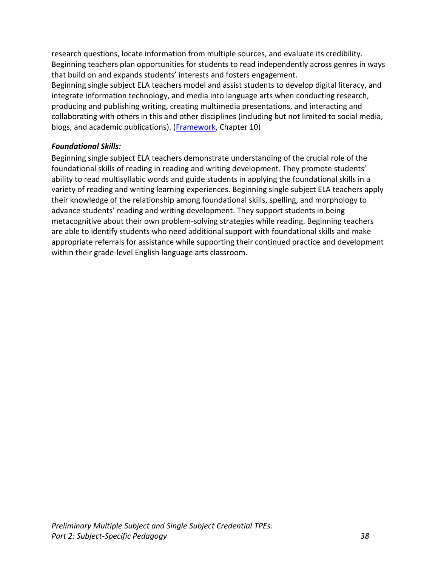research questions, locate information from multiple sources, and evaluate its credibility. Beginning teachers plan opportunities for students to read independently across genres in ways that build on and expands students' interests and fosters engagement.

Beginning single subject ELA teachers model and assist students to develop digital literacy, and integrate information technology, and media into language arts when conducting research, producing and publishing writing, creating multimedia presentations, and interacting and collaborating with others in this and other disciplines (including but not limited to social media, blogs, and academic publications). [\(Framework,](https://www.cde.ca.gov/ci/rl/cf/elaeldfrmwrkchptrs2014.asp) Chapter 10)

# *Foundational Skills:*

Beginning single subject ELA teachers demonstrate understanding of the crucial role of the foundational skills of reading in reading and writing development. They promote students' ability to read multisyllabic words and guide students in applying the foundational skills in a variety of reading and writing learning experiences. Beginning single subject ELA teachers apply their knowledge of the relationship among foundational skills, spelling, and morphology to advance students' reading and writing development. They support students in being metacognitive about their own problem-solving strategies while reading. Beginning teachers are able to identify students who need additional support with foundational skills and make appropriate referrals for assistance while supporting their continued practice and development within their grade-level English language arts classroom.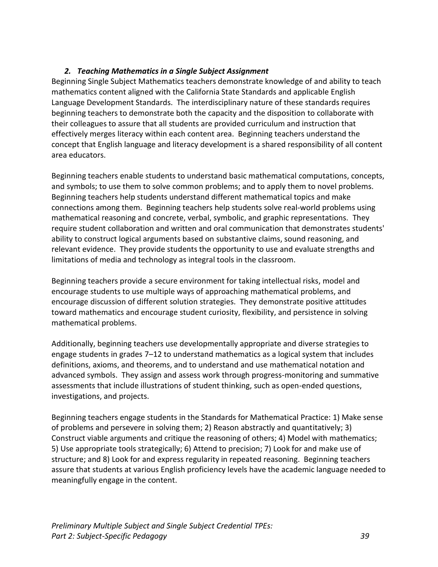# *2. Teaching Mathematics in a Single Subject Assignment*

Beginning Single Subject Mathematics teachers demonstrate knowledge of and ability to teach mathematics content aligned with the California State Standards and applicable English Language Development Standards. The interdisciplinary nature of these standards requires beginning teachers to demonstrate both the capacity and the disposition to collaborate with their colleagues to assure that all students are provided curriculum and instruction that effectively merges literacy within each content area. Beginning teachers understand the concept that English language and literacy development is a shared responsibility of all content area educators.

Beginning teachers enable students to understand basic mathematical computations, concepts, and symbols; to use them to solve common problems; and to apply them to novel problems. Beginning teachers help students understand different mathematical topics and make connections among them. Beginning teachers help students solve real-world problems using mathematical reasoning and concrete, verbal, symbolic, and graphic representations. They require student collaboration and written and oral communication that demonstrates students' ability to construct logical arguments based on substantive claims, sound reasoning, and relevant evidence. They provide students the opportunity to use and evaluate strengths and limitations of media and technology as integral tools in the classroom.

Beginning teachers provide a secure environment for taking intellectual risks, model and encourage students to use multiple ways of approaching mathematical problems, and encourage discussion of different solution strategies. They demonstrate positive attitudes toward mathematics and encourage student curiosity, flexibility, and persistence in solving mathematical problems.

Additionally, beginning teachers use developmentally appropriate and diverse strategies to engage students in grades 7–12 to understand mathematics as a logical system that includes definitions, axioms, and theorems, and to understand and use mathematical notation and advanced symbols. They assign and assess work through progress-monitoring and summative assessments that include illustrations of student thinking, such as open-ended questions, investigations, and projects.

<span id="page-41-0"></span>Beginning teachers engage students in the Standards for Mathematical Practice: 1) Make sense of problems and persevere in solving them; 2) Reason abstractly and quantitatively; 3) Construct viable arguments and critique the reasoning of others; 4) Model with mathematics; 5) Use appropriate tools strategically; 6) Attend to precision; 7) Look for and make use of structure; and 8) Look for and express regularity in repeated reasoning. Beginning teachers assure that students at various English proficiency levels have the academic language needed to meaningfully engage in the content.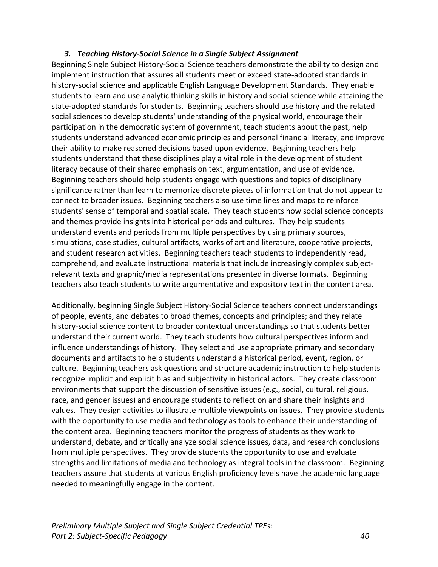### *3. Teaching History-Social Science in a Single Subject Assignment*

Beginning Single Subject History-Social Science teachers demonstrate the ability to design and implement instruction that assures all students meet or exceed state-adopted standards in history-social science and applicable English Language Development Standards. They enable students to learn and use analytic thinking skills in history and social science while attaining the state-adopted standards for students. Beginning teachers should use history and the related social sciences to develop students' understanding of the physical world, encourage their participation in the democratic system of government, teach students about the past, help students understand advanced economic principles and personal financial literacy, and improve their ability to make reasoned decisions based upon evidence. Beginning teachers help students understand that these disciplines play a vital role in the development of student literacy because of their shared emphasis on text, argumentation, and use of evidence. Beginning teachers should help students engage with questions and topics of disciplinary significance rather than learn to memorize discrete pieces of information that do not appear to connect to broader issues. Beginning teachers also use time lines and maps to reinforce students' sense of temporal and spatial scale. They teach students how social science concepts and themes provide insights into historical periods and cultures. They help students understand events and periods from multiple perspectives by using primary sources, simulations, case studies, cultural artifacts, works of art and literature, cooperative projects, and student research activities. Beginning teachers teach students to independently read, comprehend, and evaluate instructional materials that include increasingly complex subjectrelevant texts and graphic/media representations presented in diverse formats. Beginning teachers also teach students to write argumentative and expository text in the content area.

Additionally, beginning Single Subject History-Social Science teachers connect understandings of people, events, and debates to broad themes, concepts and principles; and they relate history-social science content to broader contextual understandings so that students better understand their current world. They teach students how cultural perspectives inform and influence understandings of history. They select and use appropriate primary and secondary documents and artifacts to help students understand a historical period, event, region, or culture. Beginning teachers ask questions and structure academic instruction to help students recognize implicit and explicit bias and subjectivity in historical actors. They create classroom environments that support the discussion of sensitive issues (e.g., social, cultural, religious, race, and gender issues) and encourage students to reflect on and share their insights and values. They design activities to illustrate multiple viewpoints on issues. They provide students with the opportunity to use media and technology as tools to enhance their understanding of the content area. Beginning teachers monitor the progress of students as they work to understand, debate, and critically analyze social science issues, data, and research conclusions from multiple perspectives. They provide students the opportunity to use and evaluate strengths and limitations of media and technology as integral tools in the classroom. Beginning teachers assure that students at various English proficiency levels have the academic language needed to meaningfully engage in the content.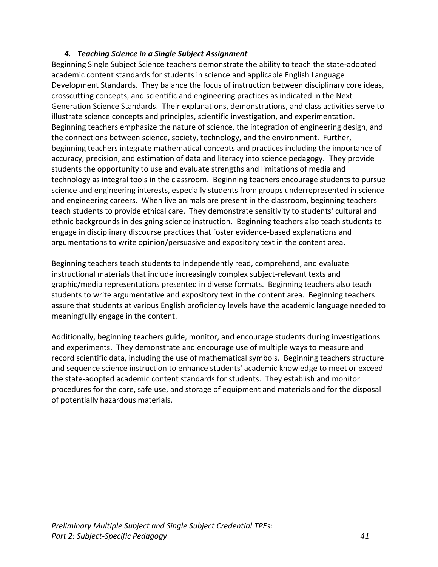### *4. Teaching Science in a Single Subject Assignment*

<span id="page-43-0"></span>Beginning Single Subject Science teachers demonstrate the ability to teach the state-adopted academic content standards for students in science and applicable English Language Development Standards. They balance the focus of instruction between disciplinary core ideas, crosscutting concepts, and scientific and engineering practices as indicated in the Next Generation Science Standards. Their explanations, demonstrations, and class activities serve to illustrate science concepts and principles, scientific investigation, and experimentation. Beginning teachers emphasize the nature of science, the integration of engineering design, and the connections between science, society, technology, and the environment. Further, beginning teachers integrate mathematical concepts and practices including the importance of accuracy, precision, and estimation of data and literacy into science pedagogy. They provide students the opportunity to use and evaluate strengths and limitations of media and technology as integral tools in the classroom. Beginning teachers encourage students to pursue science and engineering interests, especially students from groups underrepresented in science and engineering careers. When live animals are present in the classroom, beginning teachers teach students to provide ethical care. They demonstrate sensitivity to students' cultural and ethnic backgrounds in designing science instruction. Beginning teachers also teach students to engage in disciplinary discourse practices that foster evidence-based explanations and argumentations to write opinion/persuasive and expository text in the content area.

Beginning teachers teach students to independently read, comprehend, and evaluate instructional materials that include increasingly complex subject-relevant texts and graphic/media representations presented in diverse formats. Beginning teachers also teach students to write argumentative and expository text in the content area. Beginning teachers assure that students at various English proficiency levels have the academic language needed to meaningfully engage in the content.

<span id="page-43-1"></span>Additionally, beginning teachers guide, monitor, and encourage students during investigations and experiments. They demonstrate and encourage use of multiple ways to measure and record scientific data, including the use of mathematical symbols. Beginning teachers structure and sequence science instruction to enhance students' academic knowledge to meet or exceed the state-adopted academic content standards for students. They establish and monitor procedures for the care, safe use, and storage of equipment and materials and for the disposal of potentially hazardous materials.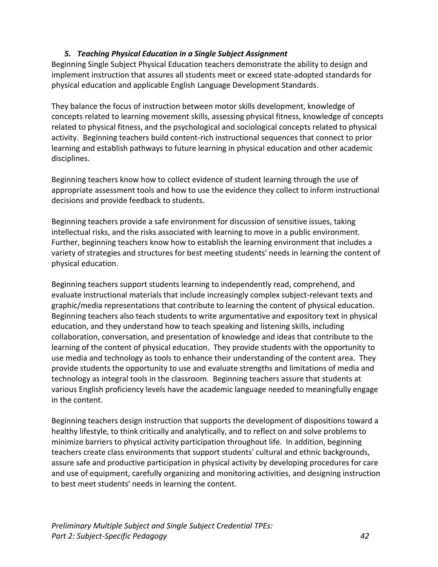# *5. Teaching Physical Education in a Single Subject Assignment*

Beginning Single Subject Physical Education teachers demonstrate the ability to design and implement instruction that assures all students meet or exceed state-adopted standards for physical education and applicable English Language Development Standards.

They balance the focus of instruction between motor skills development, knowledge of concepts related to learning movement skills, assessing physical fitness, knowledge of concepts related to physical fitness, and the psychological and sociological concepts related to physical activity. Beginning teachers build content-rich instructional sequences that connect to prior learning and establish pathways to future learning in physical education and other academic disciplines.

Beginning teachers know how to collect evidence of student learning through the use of appropriate assessment tools and how to use the evidence they collect to inform instructional decisions and provide feedback to students.

Beginning teachers provide a safe environment for discussion of sensitive issues, taking intellectual risks, and the risks associated with learning to move in a public environment. Further, beginning teachers know how to establish the learning environment that includes a variety of strategies and structures for best meeting students' needs in learning the content of physical education.

Beginning teachers support students learning to independently read, comprehend, and evaluate instructional materials that include increasingly complex subject-relevant texts and graphic/media representations that contribute to learning the content of physical education. Beginning teachers also teach students to write argumentative and expository text in physical education, and they understand how to teach speaking and listening skills, including collaboration, conversation, and presentation of knowledge and ideas that contribute to the learning of the content of physical education. They provide students with the opportunity to use media and technology as tools to enhance their understanding of the content area. They provide students the opportunity to use and evaluate strengths and limitations of media and technology as integral tools in the classroom. Beginning teachers assure that students at various English proficiency levels have the academic language needed to meaningfully engage in the content.

<span id="page-44-0"></span>Beginning teachers design instruction that supports the development of dispositions toward a healthy lifestyle, to think critically and analytically, and to reflect on and solve problems to minimize barriers to physical activity participation throughout life. In addition, beginning teachers create class environments that support students' cultural and ethnic backgrounds, assure safe and productive participation in physical activity by developing procedures for care and use of equipment, carefully organizing and monitoring activities, and designing instruction to best meet students' needs in learning the content.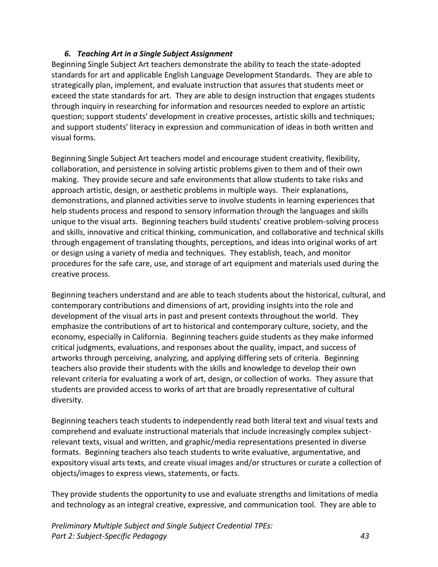# *6. Teaching Art in a Single Subject Assignment*

Beginning Single Subject Art teachers demonstrate the ability to teach the state-adopted standards for art and applicable English Language Development Standards. They are able to strategically plan, implement, and evaluate instruction that assures that students meet or exceed the state standards for art. They are able to design instruction that engages students through inquiry in researching for information and resources needed to explore an artistic question; support students' development in creative processes, artistic skills and techniques; and support students' literacy in expression and communication of ideas in both written and visual forms.

Beginning Single Subject Art teachers model and encourage student creativity, flexibility, collaboration, and persistence in solving artistic problems given to them and of their own making. They provide secure and safe environments that allow students to take risks and approach artistic, design, or aesthetic problems in multiple ways. Their explanations, demonstrations, and planned activities serve to involve students in learning experiences that help students process and respond to sensory information through the languages and skills unique to the visual arts. Beginning teachers build students' creative problem-solving process and skills, innovative and critical thinking, communication, and collaborative and technical skills through engagement of translating thoughts, perceptions, and ideas into original works of art or design using a variety of media and techniques. They establish, teach, and monitor procedures for the safe care, use, and storage of art equipment and materials used during the creative process.

Beginning teachers understand and are able to teach students about the historical, cultural, and contemporary contributions and dimensions of art, providing insights into the role and development of the visual arts in past and present contexts throughout the world. They emphasize the contributions of art to historical and contemporary culture, society, and the economy, especially in California. Beginning teachers guide students as they make informed critical judgments, evaluations, and responses about the quality, impact, and success of artworks through perceiving, analyzing, and applying differing sets of criteria. Beginning teachers also provide their students with the skills and knowledge to develop their own relevant criteria for evaluating a work of art, design, or collection of works. They assure that students are provided access to works of art that are broadly representative of cultural diversity.

Beginning teachers teach students to independently read both literal text and visual texts and comprehend and evaluate instructional materials that include increasingly complex subjectrelevant texts, visual and written, and graphic/media representations presented in diverse formats. Beginning teachers also teach students to write evaluative, argumentative, and expository visual arts texts, and create visual images and/or structures or curate a collection of objects/images to express views, statements, or facts.

They provide students the opportunity to use and evaluate strengths and limitations of media and technology as an integral creative, expressive, and communication tool. They are able to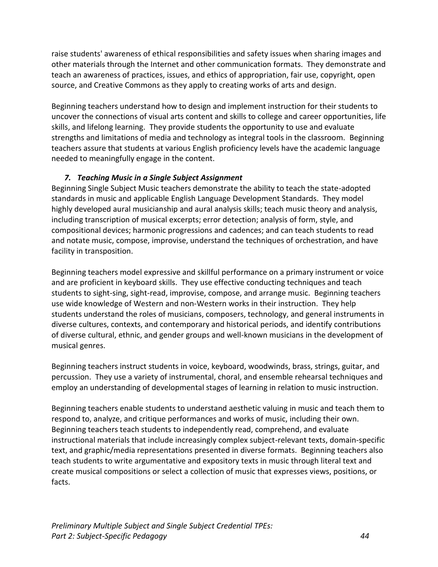raise students' awareness of ethical responsibilities and safety issues when sharing images and other materials through the Internet and other communication formats. They demonstrate and teach an awareness of practices, issues, and ethics of appropriation, fair use, copyright, open source, and Creative Commons as they apply to creating works of arts and design.

Beginning teachers understand how to design and implement instruction for their students to uncover the connections of visual arts content and skills to college and career opportunities, life skills, and lifelong learning. They provide students the opportunity to use and evaluate strengths and limitations of media and technology as integral tools in the classroom. Beginning teachers assure that students at various English proficiency levels have the academic language needed to meaningfully engage in the content.

# <span id="page-46-0"></span>*7. Teaching Music in a Single Subject Assignment*

Beginning Single Subject Music teachers demonstrate the ability to teach the state-adopted standards in music and applicable English Language Development Standards. They model highly developed aural musicianship and aural analysis skills; teach music theory and analysis, including transcription of musical excerpts; error detection; analysis of form, style, and compositional devices; harmonic progressions and cadences; and can teach students to read and notate music, compose, improvise, understand the techniques of orchestration, and have facility in transposition.

Beginning teachers model expressive and skillful performance on a primary instrument or voice and are proficient in keyboard skills. They use effective conducting techniques and teach students to sight-sing, sight-read, improvise, compose, and arrange music. Beginning teachers use wide knowledge of Western and non-Western works in their instruction. They help students understand the roles of musicians, composers, technology, and general instruments in diverse cultures, contexts, and contemporary and historical periods, and identify contributions of diverse cultural, ethnic, and gender groups and well-known musicians in the development of musical genres.

Beginning teachers instruct students in voice, keyboard, woodwinds, brass, strings, guitar, and percussion. They use a variety of instrumental, choral, and ensemble rehearsal techniques and employ an understanding of developmental stages of learning in relation to music instruction.

Beginning teachers enable students to understand aesthetic valuing in music and teach them to respond to, analyze, and critique performances and works of music, including their own. Beginning teachers teach students to independently read, comprehend, and evaluate instructional materials that include increasingly complex subject-relevant texts, domain-specific text, and graphic/media representations presented in diverse formats. Beginning teachers also teach students to write argumentative and expository texts in music through literal text and create musical compositions or select a collection of music that expresses views, positions, or facts.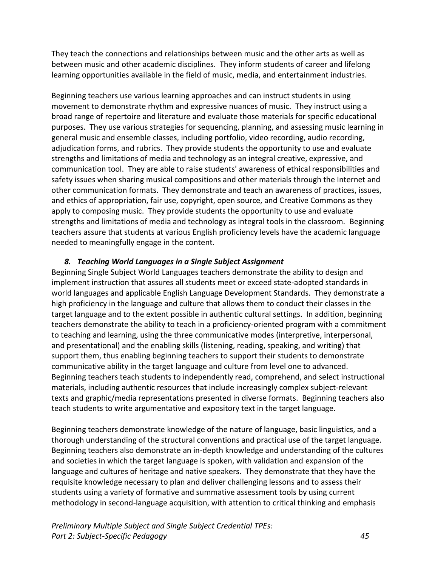They teach the connections and relationships between music and the other arts as well as between music and other academic disciplines. They inform students of career and lifelong learning opportunities available in the field of music, media, and entertainment industries.

Beginning teachers use various learning approaches and can instruct students in using movement to demonstrate rhythm and expressive nuances of music. They instruct using a broad range of repertoire and literature and evaluate those materials for specific educational purposes. They use various strategies for sequencing, planning, and assessing music learning in general music and ensemble classes, including portfolio, video recording, audio recording, adjudication forms, and rubrics. They provide students the opportunity to use and evaluate strengths and limitations of media and technology as an integral creative, expressive, and communication tool. They are able to raise students' awareness of ethical responsibilities and safety issues when sharing musical compositions and other materials through the Internet and other communication formats. They demonstrate and teach an awareness of practices, issues, and ethics of appropriation, fair use, copyright, open source, and Creative Commons as they apply to composing music. They provide students the opportunity to use and evaluate strengths and limitations of media and technology as integral tools in the classroom. Beginning teachers assure that students at various English proficiency levels have the academic language needed to meaningfully engage in the content.

# <span id="page-47-0"></span>*8. Teaching World Languages in a Single Subject Assignment*

Beginning Single Subject World Languages teachers demonstrate the ability to design and implement instruction that assures all students meet or exceed state-adopted standards in world languages and applicable English Language Development Standards. They demonstrate a high proficiency in the language and culture that allows them to conduct their classes in the target language and to the extent possible in authentic cultural settings. In addition, beginning teachers demonstrate the ability to teach in a proficiency-oriented program with a commitment to teaching and learning, using the three communicative modes (interpretive, interpersonal, and presentational) and the enabling skills (listening, reading, speaking, and writing) that support them, thus enabling beginning teachers to support their students to demonstrate communicative ability in the target language and culture from level one to advanced. Beginning teachers teach students to independently read, comprehend, and select instructional materials, including authentic resources that include increasingly complex subject-relevant texts and graphic/media representations presented in diverse formats. Beginning teachers also teach students to write argumentative and expository text in the target language.

Beginning teachers demonstrate knowledge of the nature of language, basic linguistics, and a thorough understanding of the structural conventions and practical use of the target language. Beginning teachers also demonstrate an in-depth knowledge and understanding of the cultures and societies in which the target language is spoken, with validation and expansion of the language and cultures of heritage and native speakers. They demonstrate that they have the requisite knowledge necessary to plan and deliver challenging lessons and to assess their students using a variety of formative and summative assessment tools by using current methodology in second-language acquisition, with attention to critical thinking and emphasis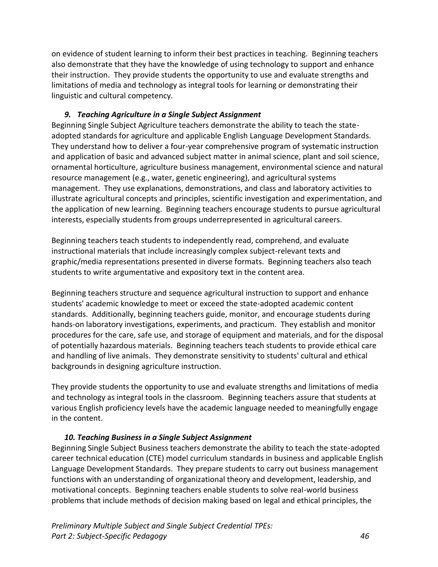on evidence of student learning to inform their best practices in teaching. Beginning teachers also demonstrate that they have the knowledge of using technology to support and enhance their instruction. They provide students the opportunity to use and evaluate strengths and limitations of media and technology as integral tools for learning or demonstrating their linguistic and cultural competency.

# <span id="page-48-0"></span>*9. Teaching Agriculture in a Single Subject Assignment*

Beginning Single Subject Agriculture teachers demonstrate the ability to teach the stateadopted standards for agriculture and applicable English Language Development Standards. They understand how to deliver a four-year comprehensive program of systematic instruction and application of basic and advanced subject matter in animal science, plant and soil science, ornamental horticulture, agriculture business management, environmental science and natural resource management (e.g., water, genetic engineering), and agricultural systems management. They use explanations, demonstrations, and class and laboratory activities to illustrate agricultural concepts and principles, scientific investigation and experimentation, and the application of new learning. Beginning teachers encourage students to pursue agricultural interests, especially students from groups underrepresented in agricultural careers.

Beginning teachers teach students to independently read, comprehend, and evaluate instructional materials that include increasingly complex subject-relevant texts and graphic/media representations presented in diverse formats. Beginning teachers also teach students to write argumentative and expository text in the content area.

Beginning teachers structure and sequence agricultural instruction to support and enhance students' academic knowledge to meet or exceed the state-adopted academic content standards. Additionally, beginning teachers guide, monitor, and encourage students during hands-on laboratory investigations, experiments, and practicum. They establish and monitor procedures for the care, safe use, and storage of equipment and materials, and for the disposal of potentially hazardous materials. Beginning teachers teach students to provide ethical care and handling of live animals. They demonstrate sensitivity to students' cultural and ethical backgrounds in designing agriculture instruction.

They provide students the opportunity to use and evaluate strengths and limitations of media and technology as integral tools in the classroom. Beginning teachers assure that students at various English proficiency levels have the academic language needed to meaningfully engage in the content.

### <span id="page-48-1"></span>*10. Teaching Business in a Single Subject Assignment*

Beginning Single Subject Business teachers demonstrate the ability to teach the state-adopted career technical education (CTE) model curriculum standards in business and applicable English Language Development Standards. They prepare students to carry out business management functions with an understanding of organizational theory and development, leadership, and motivational concepts. Beginning teachers enable students to solve real-world business problems that include methods of decision making based on legal and ethical principles, the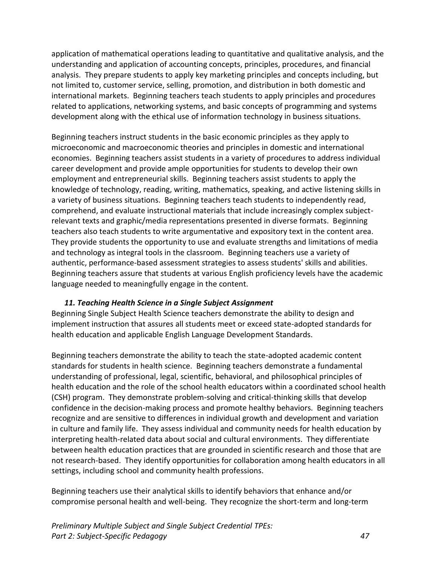application of mathematical operations leading to quantitative and qualitative analysis, and the understanding and application of accounting concepts, principles, procedures, and financial analysis. They prepare students to apply key marketing principles and concepts including, but not limited to, customer service, selling, promotion, and distribution in both domestic and international markets. Beginning teachers teach students to apply principles and procedures related to applications, networking systems, and basic concepts of programming and systems development along with the ethical use of information technology in business situations.

Beginning teachers instruct students in the basic economic principles as they apply to microeconomic and macroeconomic theories and principles in domestic and international economies. Beginning teachers assist students in a variety of procedures to address individual career development and provide ample opportunities for students to develop their own employment and entrepreneurial skills. Beginning teachers assist students to apply the knowledge of technology, reading, writing, mathematics, speaking, and active listening skills in a variety of business situations. Beginning teachers teach students to independently read, comprehend, and evaluate instructional materials that include increasingly complex subjectrelevant texts and graphic/media representations presented in diverse formats. Beginning teachers also teach students to write argumentative and expository text in the content area. They provide students the opportunity to use and evaluate strengths and limitations of media and technology as integral tools in the classroom. Beginning teachers use a variety of authentic, performance-based assessment strategies to assess students' skills and abilities. Beginning teachers assure that students at various English proficiency levels have the academic language needed to meaningfully engage in the content.

### <span id="page-49-0"></span>*11. Teaching Health Science in a Single Subject Assignment*

Beginning Single Subject Health Science teachers demonstrate the ability to design and implement instruction that assures all students meet or exceed state-adopted standards for health education and applicable English Language Development Standards.

Beginning teachers demonstrate the ability to teach the state-adopted academic content standards for students in health science. Beginning teachers demonstrate a fundamental understanding of professional, legal, scientific, behavioral, and philosophical principles of health education and the role of the school health educators within a coordinated school health (CSH) program. They demonstrate problem-solving and critical-thinking skills that develop confidence in the decision-making process and promote healthy behaviors. Beginning teachers recognize and are sensitive to differences in individual growth and development and variation in culture and family life. They assess individual and community needs for health education by interpreting health-related data about social and cultural environments. They differentiate between health education practices that are grounded in scientific research and those that are not research-based. They identify opportunities for collaboration among health educators in all settings, including school and community health professions.

Beginning teachers use their analytical skills to identify behaviors that enhance and/or compromise personal health and well-being. They recognize the short-term and long-term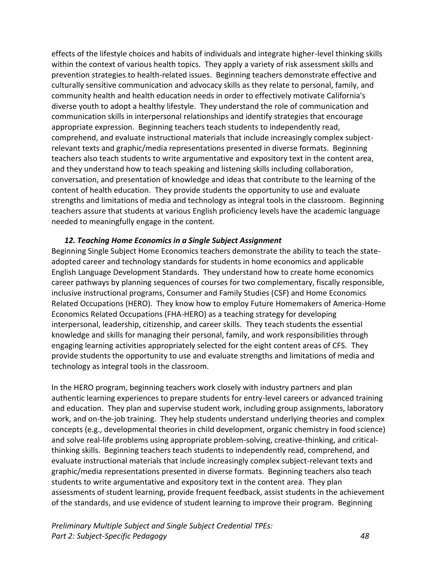effects of the lifestyle choices and habits of individuals and integrate higher-level thinking skills within the context of various health topics. They apply a variety of risk assessment skills and prevention strategies to health-related issues. Beginning teachers demonstrate effective and culturally sensitive communication and advocacy skills as they relate to personal, family, and community health and health education needs in order to effectively motivate California's diverse youth to adopt a healthy lifestyle. They understand the role of communication and communication skills in interpersonal relationships and identify strategies that encourage appropriate expression. Beginning teachers teach students to independently read, comprehend, and evaluate instructional materials that include increasingly complex subjectrelevant texts and graphic/media representations presented in diverse formats. Beginning teachers also teach students to write argumentative and expository text in the content area, and they understand how to teach speaking and listening skills including collaboration, conversation, and presentation of knowledge and ideas that contribute to the learning of the content of health education. They provide students the opportunity to use and evaluate strengths and limitations of media and technology as integral tools in the classroom. Beginning teachers assure that students at various English proficiency levels have the academic language needed to meaningfully engage in the content.

### <span id="page-50-0"></span>*12. Teaching Home Economics in a Single Subject Assignment*

Beginning Single Subject Home Economics teachers demonstrate the ability to teach the stateadopted career and technology standards for students in home economics and applicable English Language Development Standards. They understand how to create home economics career pathways by planning sequences of courses for two complementary, fiscally responsible, inclusive instructional programs, Consumer and Family Studies (CSF) and Home Economics Related Occupations (HERO). They know how to employ Future Homemakers of America-Home Economics Related Occupations (FHA-HERO) as a teaching strategy for developing interpersonal, leadership, citizenship, and career skills. They teach students the essential knowledge and skills for managing their personal, family, and work responsibilities through engaging learning activities appropriately selected for the eight content areas of CFS. They provide students the opportunity to use and evaluate strengths and limitations of media and technology as integral tools in the classroom.

In the HERO program, beginning teachers work closely with industry partners and plan authentic learning experiences to prepare students for entry-level careers or advanced training and education. They plan and supervise student work, including group assignments, laboratory work, and on-the-job training. They help students understand underlying theories and complex concepts (e.g., developmental theories in child development, organic chemistry in food science) and solve real-life problems using appropriate problem-solving, creative-thinking, and criticalthinking skills. Beginning teachers teach students to independently read, comprehend, and evaluate instructional materials that include increasingly complex subject-relevant texts and graphic/media representations presented in diverse formats. Beginning teachers also teach students to write argumentative and expository text in the content area. They plan assessments of student learning, provide frequent feedback, assist students in the achievement of the standards, and use evidence of student learning to improve their program. Beginning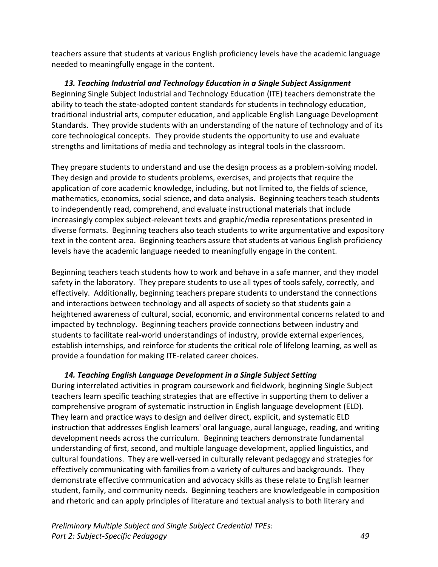teachers assure that students at various English proficiency levels have the academic language needed to meaningfully engage in the content.

<span id="page-51-0"></span>*13. Teaching Industrial and Technology Education in a Single Subject Assignment* Beginning Single Subject Industrial and Technology Education (ITE) teachers demonstrate the ability to teach the state-adopted content standards for students in technology education, traditional industrial arts, computer education, and applicable English Language Development Standards. They provide students with an understanding of the nature of technology and of its core technological concepts. They provide students the opportunity to use and evaluate strengths and limitations of media and technology as integral tools in the classroom.

They prepare students to understand and use the design process as a problem-solving model. They design and provide to students problems, exercises, and projects that require the application of core academic knowledge, including, but not limited to, the fields of science, mathematics, economics, social science, and data analysis. Beginning teachers teach students to independently read, comprehend, and evaluate instructional materials that include increasingly complex subject-relevant texts and graphic/media representations presented in diverse formats. Beginning teachers also teach students to write argumentative and expository text in the content area. Beginning teachers assure that students at various English proficiency levels have the academic language needed to meaningfully engage in the content.

Beginning teachers teach students how to work and behave in a safe manner, and they model safety in the laboratory. They prepare students to use all types of tools safely, correctly, and effectively. Additionally, beginning teachers prepare students to understand the connections and interactions between technology and all aspects of society so that students gain a heightened awareness of cultural, social, economic, and environmental concerns related to and impacted by technology. Beginning teachers provide connections between industry and students to facilitate real-world understandings of industry, provide external experiences, establish internships, and reinforce for students the critical role of lifelong learning, as well as provide a foundation for making ITE-related career choices.

### <span id="page-51-1"></span>*14. Teaching English Language Development in a Single Subject Setting*

During interrelated activities in program coursework and fieldwork, beginning Single Subject teachers learn specific teaching strategies that are effective in supporting them to deliver a comprehensive program of systematic instruction in English language development (ELD). They learn and practice ways to design and deliver direct, explicit, and systematic ELD instruction that addresses English learners' oral language, aural language, reading, and writing development needs across the curriculum. Beginning teachers demonstrate fundamental understanding of first, second, and multiple language development, applied linguistics, and cultural foundations. They are well-versed in culturally relevant pedagogy and strategies for effectively communicating with families from a variety of cultures and backgrounds. They demonstrate effective communication and advocacy skills as these relate to English learner student, family, and community needs. Beginning teachers are knowledgeable in composition and rhetoric and can apply principles of literature and textual analysis to both literary and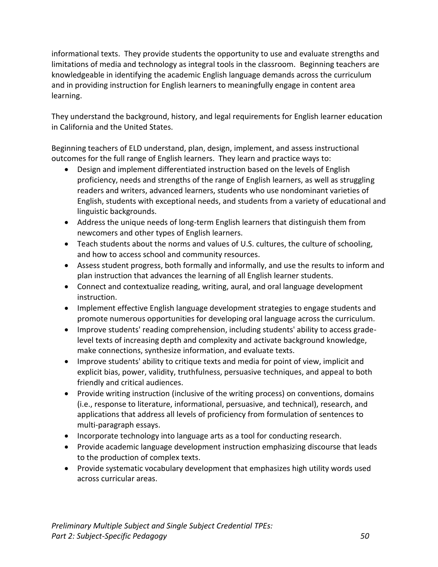informational texts. They provide students the opportunity to use and evaluate strengths and limitations of media and technology as integral tools in the classroom. Beginning teachers are knowledgeable in identifying the academic English language demands across the curriculum and in providing instruction for English learners to meaningfully engage in content area learning.

They understand the background, history, and legal requirements for English learner education in California and the United States.

Beginning teachers of ELD understand, plan, design, implement, and assess instructional outcomes for the full range of English learners. They learn and practice ways to:

- Design and implement differentiated instruction based on the levels of English proficiency, needs and strengths of the range of English learners, as well as struggling readers and writers, advanced learners, students who use nondominant varieties of English, students with exceptional needs, and students from a variety of educational and linguistic backgrounds.
- Address the unique needs of long-term English learners that distinguish them from newcomers and other types of English learners.
- Teach students about the norms and values of U.S. cultures, the culture of schooling, and how to access school and community resources.
- Assess student progress, both formally and informally, and use the results to inform and plan instruction that advances the learning of all English learner students.
- Connect and contextualize reading, writing, aural, and oral language development instruction.
- Implement effective English language development strategies to engage students and promote numerous opportunities for developing oral language across the curriculum.
- Improve students' reading comprehension, including students' ability to access gradelevel texts of increasing depth and complexity and activate background knowledge, make connections, synthesize information, and evaluate texts.
- Improve students' ability to critique texts and media for point of view, implicit and explicit bias, power, validity, truthfulness, persuasive techniques, and appeal to both friendly and critical audiences.
- Provide writing instruction (inclusive of the writing process) on conventions, domains (i.e., response to literature, informational, persuasive, and technical), research, and applications that address all levels of proficiency from formulation of sentences to multi-paragraph essays.
- Incorporate technology into language arts as a tool for conducting research.
- Provide academic language development instruction emphasizing discourse that leads to the production of complex texts.
- Provide systematic vocabulary development that emphasizes high utility words used across curricular areas.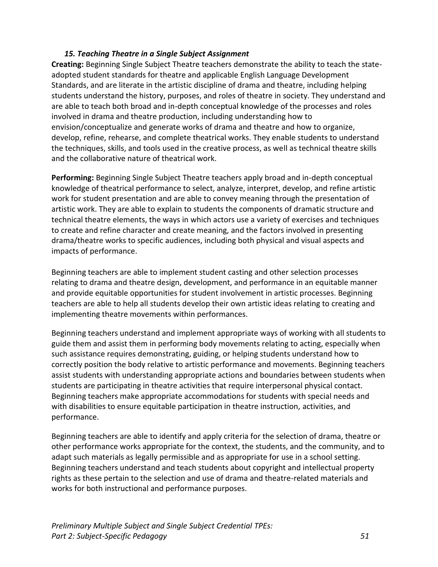### <span id="page-53-0"></span>*15. Teaching Theatre in a Single Subject Assignment*

**Creating:** Beginning Single Subject Theatre teachers demonstrate the ability to teach the stateadopted student standards for theatre and applicable English Language Development Standards, and are literate in the artistic discipline of drama and theatre, including helping students understand the history, purposes, and roles of theatre in society. They understand and are able to teach both broad and in-depth conceptual knowledge of the processes and roles involved in drama and theatre production, including understanding how to envision/conceptualize and generate works of drama and theatre and how to organize, develop, refine, rehearse, and complete theatrical works. They enable students to understand the techniques, skills, and tools used in the creative process, as well as technical theatre skills and the collaborative nature of theatrical work.

**Performing:** Beginning Single Subject Theatre teachers apply broad and in-depth conceptual knowledge of theatrical performance to select, analyze, interpret, develop, and refine artistic work for student presentation and are able to convey meaning through the presentation of artistic work. They are able to explain to students the components of dramatic structure and technical theatre elements, the ways in which actors use a variety of exercises and techniques to create and refine character and create meaning, and the factors involved in presenting drama/theatre works to specific audiences, including both physical and visual aspects and impacts of performance.

Beginning teachers are able to implement student casting and other selection processes relating to drama and theatre design, development, and performance in an equitable manner and provide equitable opportunities for student involvement in artistic processes. Beginning teachers are able to help all students develop their own artistic ideas relating to creating and implementing theatre movements within performances.

Beginning teachers understand and implement appropriate ways of working with all students to guide them and assist them in performing body movements relating to acting, especially when such assistance requires demonstrating, guiding, or helping students understand how to correctly position the body relative to artistic performance and movements. Beginning teachers assist students with understanding appropriate actions and boundaries between students when students are participating in theatre activities that require interpersonal physical contact. Beginning teachers make appropriate accommodations for students with special needs and with disabilities to ensure equitable participation in theatre instruction, activities, and performance.

Beginning teachers are able to identify and apply criteria for the selection of drama, theatre or other performance works appropriate for the context, the students, and the community, and to adapt such materials as legally permissible and as appropriate for use in a school setting. Beginning teachers understand and teach students about copyright and intellectual property rights as these pertain to the selection and use of drama and theatre-related materials and works for both instructional and performance purposes.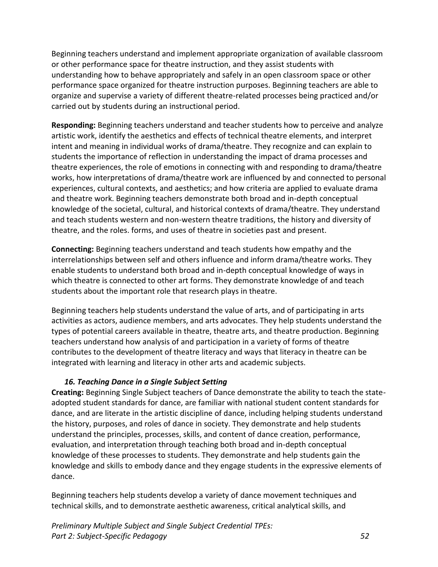Beginning teachers understand and implement appropriate organization of available classroom or other performance space for theatre instruction, and they assist students with understanding how to behave appropriately and safely in an open classroom space or other performance space organized for theatre instruction purposes. Beginning teachers are able to organize and supervise a variety of different theatre-related processes being practiced and/or carried out by students during an instructional period.

**Responding:** Beginning teachers understand and teacher students how to perceive and analyze artistic work, identify the aesthetics and effects of technical theatre elements, and interpret intent and meaning in individual works of drama/theatre. They recognize and can explain to students the importance of reflection in understanding the impact of drama processes and theatre experiences, the role of emotions in connecting with and responding to drama/theatre works, how interpretations of drama/theatre work are influenced by and connected to personal experiences, cultural contexts, and aesthetics; and how criteria are applied to evaluate drama and theatre work. Beginning teachers demonstrate both broad and in-depth conceptual knowledge of the societal, cultural, and historical contexts of drama/theatre. They understand and teach students western and non-western theatre traditions, the history and diversity of theatre, and the roles. forms, and uses of theatre in societies past and present.

**Connecting:** Beginning teachers understand and teach students how empathy and the interrelationships between self and others influence and inform drama/theatre works. They enable students to understand both broad and in-depth conceptual knowledge of ways in which theatre is connected to other art forms. They demonstrate knowledge of and teach students about the important role that research plays in theatre.

Beginning teachers help students understand the value of arts, and of participating in arts activities as actors, audience members, and arts advocates. They help students understand the types of potential careers available in theatre, theatre arts, and theatre production. Beginning teachers understand how analysis of and participation in a variety of forms of theatre contributes to the development of theatre literacy and ways that literacy in theatre can be integrated with learning and literacy in other arts and academic subjects.

### <span id="page-54-0"></span>*16. Teaching Dance in a Single Subject Setting*

**Creating:** Beginning Single Subject teachers of Dance demonstrate the ability to teach the stateadopted student standards for dance, are familiar with national student content standards for dance, and are literate in the artistic discipline of dance, including helping students understand the history, purposes, and roles of dance in society. They demonstrate and help students understand the principles, processes, skills, and content of dance creation, performance, evaluation, and interpretation through teaching both broad and in-depth conceptual knowledge of these processes to students. They demonstrate and help students gain the knowledge and skills to embody dance and they engage students in the expressive elements of dance.

Beginning teachers help students develop a variety of dance movement techniques and technical skills, and to demonstrate aesthetic awareness, critical analytical skills, and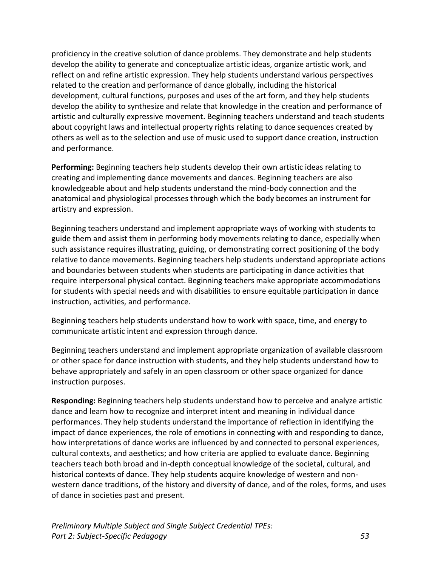proficiency in the creative solution of dance problems. They demonstrate and help students develop the ability to generate and conceptualize artistic ideas, organize artistic work, and reflect on and refine artistic expression. They help students understand various perspectives related to the creation and performance of dance globally, including the historical development, cultural functions, purposes and uses of the art form, and they help students develop the ability to synthesize and relate that knowledge in the creation and performance of artistic and culturally expressive movement. Beginning teachers understand and teach students about copyright laws and intellectual property rights relating to dance sequences created by others as well as to the selection and use of music used to support dance creation, instruction and performance.

**Performing:** Beginning teachers help students develop their own artistic ideas relating to creating and implementing dance movements and dances. Beginning teachers are also knowledgeable about and help students understand the mind-body connection and the anatomical and physiological processes through which the body becomes an instrument for artistry and expression.

Beginning teachers understand and implement appropriate ways of working with students to guide them and assist them in performing body movements relating to dance, especially when such assistance requires illustrating, guiding, or demonstrating correct positioning of the body relative to dance movements. Beginning teachers help students understand appropriate actions and boundaries between students when students are participating in dance activities that require interpersonal physical contact. Beginning teachers make appropriate accommodations for students with special needs and with disabilities to ensure equitable participation in dance instruction, activities, and performance.

Beginning teachers help students understand how to work with space, time, and energy to communicate artistic intent and expression through dance.

Beginning teachers understand and implement appropriate organization of available classroom or other space for dance instruction with students, and they help students understand how to behave appropriately and safely in an open classroom or other space organized for dance instruction purposes.

**Responding:** Beginning teachers help students understand how to perceive and analyze artistic dance and learn how to recognize and interpret intent and meaning in individual dance performances. They help students understand the importance of reflection in identifying the impact of dance experiences, the role of emotions in connecting with and responding to dance, how interpretations of dance works are influenced by and connected to personal experiences, cultural contexts, and aesthetics; and how criteria are applied to evaluate dance. Beginning teachers teach both broad and in-depth conceptual knowledge of the societal, cultural, and historical contexts of dance. They help students acquire knowledge of western and nonwestern dance traditions, of the history and diversity of dance, and of the roles, forms, and uses of dance in societies past and present.